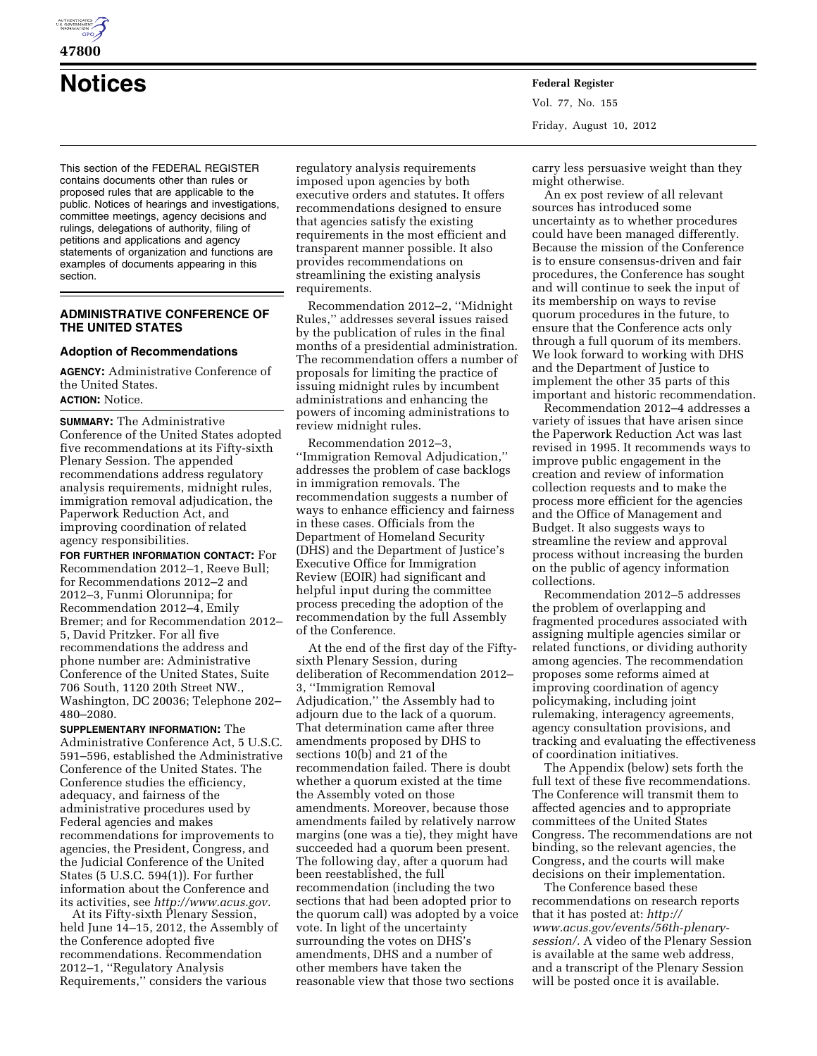

**47800** 

# **Notices Federal Register**

This section of the FEDERAL REGISTER contains documents other than rules or proposed rules that are applicable to the public. Notices of hearings and investigations, committee meetings, agency decisions and rulings, delegations of authority, filing of petitions and applications and agency statements of organization and functions are examples of documents appearing in this section.

# **ADMINISTRATIVE CONFERENCE OF THE UNITED STATES**

# **Adoption of Recommendations**

**AGENCY:** Administrative Conference of the United States. **ACTION:** Notice.

**SUMMARY:** The Administrative Conference of the United States adopted five recommendations at its Fifty-sixth Plenary Session. The appended recommendations address regulatory analysis requirements, midnight rules, immigration removal adjudication, the Paperwork Reduction Act, and improving coordination of related agency responsibilities.

**FOR FURTHER INFORMATION CONTACT:** For Recommendation 2012–1, Reeve Bull; for Recommendations 2012–2 and 2012–3, Funmi Olorunnipa; for Recommendation 2012–4, Emily Bremer; and for Recommendation 2012– 5, David Pritzker. For all five recommendations the address and phone number are: Administrative Conference of the United States, Suite 706 South, 1120 20th Street NW., Washington, DC 20036; Telephone 202– 480–2080.

**SUPPLEMENTARY INFORMATION:** The Administrative Conference Act, 5 U.S.C. 591–596, established the Administrative Conference of the United States. The Conference studies the efficiency, adequacy, and fairness of the administrative procedures used by Federal agencies and makes recommendations for improvements to agencies, the President, Congress, and the Judicial Conference of the United States (5 U.S.C. 594(1)). For further information about the Conference and its activities, see *[http://www.acus.gov.](http://www.acus.gov)* 

At its Fifty-sixth Plenary Session, held June 14–15, 2012, the Assembly of the Conference adopted five recommendations. Recommendation 2012–1, ''Regulatory Analysis Requirements,'' considers the various

regulatory analysis requirements imposed upon agencies by both executive orders and statutes. It offers recommendations designed to ensure that agencies satisfy the existing requirements in the most efficient and transparent manner possible. It also provides recommendations on streamlining the existing analysis requirements.

Recommendation 2012–2, ''Midnight Rules,'' addresses several issues raised by the publication of rules in the final months of a presidential administration. The recommendation offers a number of proposals for limiting the practice of issuing midnight rules by incumbent administrations and enhancing the powers of incoming administrations to review midnight rules.

Recommendation 2012–3, ''Immigration Removal Adjudication,'' addresses the problem of case backlogs in immigration removals. The recommendation suggests a number of ways to enhance efficiency and fairness in these cases. Officials from the Department of Homeland Security (DHS) and the Department of Justice's Executive Office for Immigration Review (EOIR) had significant and helpful input during the committee process preceding the adoption of the recommendation by the full Assembly of the Conference.

At the end of the first day of the Fiftysixth Plenary Session, during deliberation of Recommendation 2012– 3, ''Immigration Removal Adjudication,'' the Assembly had to adjourn due to the lack of a quorum. That determination came after three amendments proposed by DHS to sections 10(b) and 21 of the recommendation failed. There is doubt whether a quorum existed at the time the Assembly voted on those amendments. Moreover, because those amendments failed by relatively narrow margins (one was a tie), they might have succeeded had a quorum been present. The following day, after a quorum had been reestablished, the full recommendation (including the two sections that had been adopted prior to the quorum call) was adopted by a voice vote. In light of the uncertainty surrounding the votes on DHS's amendments, DHS and a number of other members have taken the reasonable view that those two sections

Vol. 77, No. 155 Friday, August 10, 2012

carry less persuasive weight than they might otherwise.

An ex post review of all relevant sources has introduced some uncertainty as to whether procedures could have been managed differently. Because the mission of the Conference is to ensure consensus-driven and fair procedures, the Conference has sought and will continue to seek the input of its membership on ways to revise quorum procedures in the future, to ensure that the Conference acts only through a full quorum of its members. We look forward to working with DHS and the Department of Justice to implement the other 35 parts of this important and historic recommendation.

Recommendation 2012–4 addresses a variety of issues that have arisen since the Paperwork Reduction Act was last revised in 1995. It recommends ways to improve public engagement in the creation and review of information collection requests and to make the process more efficient for the agencies and the Office of Management and Budget. It also suggests ways to streamline the review and approval process without increasing the burden on the public of agency information collections.

Recommendation 2012–5 addresses the problem of overlapping and fragmented procedures associated with assigning multiple agencies similar or related functions, or dividing authority among agencies. The recommendation proposes some reforms aimed at improving coordination of agency policymaking, including joint rulemaking, interagency agreements, agency consultation provisions, and tracking and evaluating the effectiveness of coordination initiatives.

The Appendix (below) sets forth the full text of these five recommendations. The Conference will transmit them to affected agencies and to appropriate committees of the United States Congress. The recommendations are not binding, so the relevant agencies, the Congress, and the courts will make decisions on their implementation.

The Conference based these recommendations on research reports that it has posted at: *[http://](http://www.acus.gov/events/56th-plenary-session/)  [www.acus.gov/events/56th-plenary](http://www.acus.gov/events/56th-plenary-session/)[session/.](http://www.acus.gov/events/56th-plenary-session/)* A video of the Plenary Session is available at the same web address, and a transcript of the Plenary Session will be posted once it is available.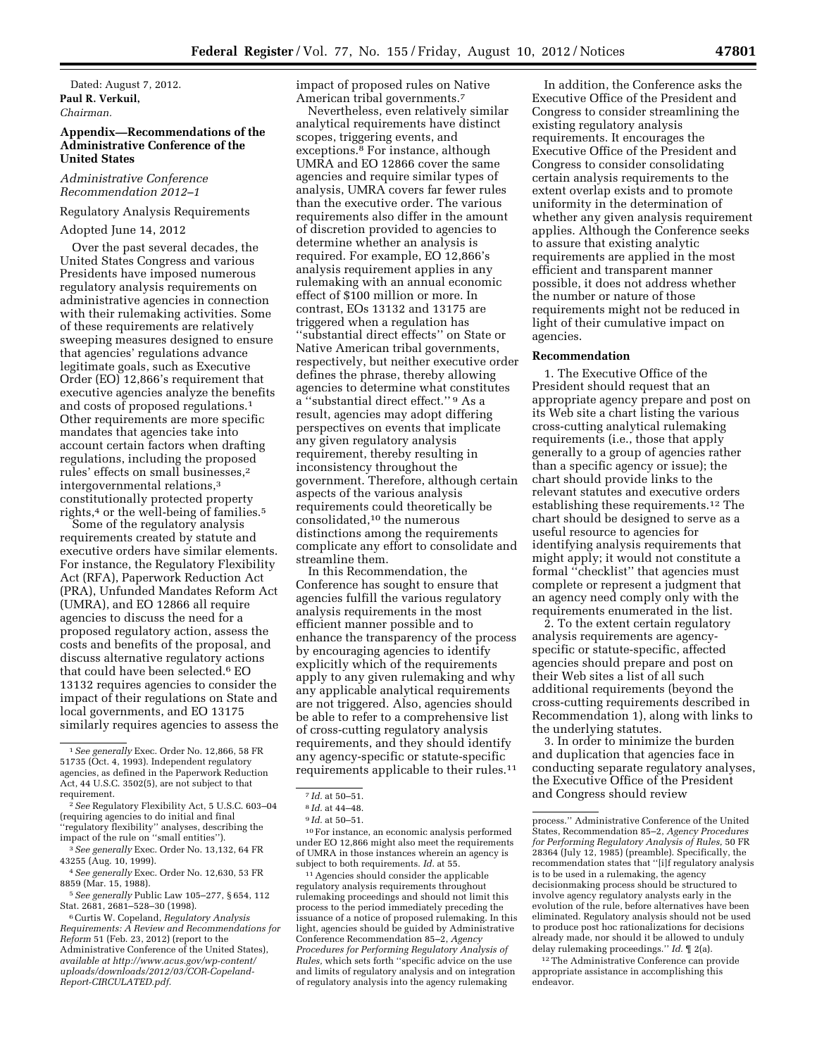Dated: August 7, 2012. **Paul R. Verkuil,**  *Chairman.* 

## **Appendix—Recommendations of the Administrative Conference of the United States**

## *Administrative Conference Recommendation 2012–1*

# Regulatory Analysis Requirements

# Adopted June 14, 2012

Over the past several decades, the United States Congress and various Presidents have imposed numerous regulatory analysis requirements on administrative agencies in connection with their rulemaking activities. Some of these requirements are relatively sweeping measures designed to ensure that agencies' regulations advance legitimate goals, such as Executive Order (EO) 12,866's requirement that executive agencies analyze the benefits and costs of proposed regulations.1 Other requirements are more specific mandates that agencies take into account certain factors when drafting regulations, including the proposed rules' effects on small businesses,2 intergovernmental relations,3 constitutionally protected property rights,<sup>4</sup> or the well-being of families.<sup>5</sup>

Some of the regulatory analysis requirements created by statute and executive orders have similar elements. For instance, the Regulatory Flexibility Act (RFA), Paperwork Reduction Act (PRA), Unfunded Mandates Reform Act (UMRA), and EO 12866 all require agencies to discuss the need for a proposed regulatory action, assess the costs and benefits of the proposal, and discuss alternative regulatory actions that could have been selected.6 EO 13132 requires agencies to consider the impact of their regulations on State and local governments, and EO 13175 similarly requires agencies to assess the

6Curtis W. Copeland, *Regulatory Analysis Requirements: A Review and Recommendations for Reform* 51 (Feb. 23, 2012) (report to the Administrative Conference of the United States), *available at [http://www.acus.gov/wp-content/](http://www.acus.gov/wp-content/uploads/downloads/2012/03/COR-Copeland-Report-CIRCULATED.pdf) [uploads/downloads/2012/03/COR-Copeland-](http://www.acus.gov/wp-content/uploads/downloads/2012/03/COR-Copeland-Report-CIRCULATED.pdf)[Report-CIRCULATED.pdf.](http://www.acus.gov/wp-content/uploads/downloads/2012/03/COR-Copeland-Report-CIRCULATED.pdf)* 

impact of proposed rules on Native American tribal governments.7

Nevertheless, even relatively similar analytical requirements have distinct scopes, triggering events, and exceptions.8 For instance, although UMRA and EO 12866 cover the same agencies and require similar types of analysis, UMRA covers far fewer rules than the executive order. The various requirements also differ in the amount of discretion provided to agencies to determine whether an analysis is required. For example, EO 12,866's analysis requirement applies in any rulemaking with an annual economic effect of \$100 million or more. In contrast, EOs 13132 and 13175 are triggered when a regulation has ''substantial direct effects'' on State or Native American tribal governments, respectively, but neither executive order defines the phrase, thereby allowing agencies to determine what constitutes a ''substantial direct effect.'' 9 As a result, agencies may adopt differing perspectives on events that implicate any given regulatory analysis requirement, thereby resulting in inconsistency throughout the government. Therefore, although certain aspects of the various analysis requirements could theoretically be consolidated,10 the numerous distinctions among the requirements complicate any effort to consolidate and streamline them.

In this Recommendation, the Conference has sought to ensure that agencies fulfill the various regulatory analysis requirements in the most efficient manner possible and to enhance the transparency of the process by encouraging agencies to identify explicitly which of the requirements apply to any given rulemaking and why any applicable analytical requirements are not triggered. Also, agencies should be able to refer to a comprehensive list of cross-cutting regulatory analysis requirements, and they should identify any agency-specific or statute-specific requirements applicable to their rules.11

10For instance, an economic analysis performed under EO 12,866 might also meet the requirements of UMRA in those instances wherein an agency is subject to both requirements. *Id.* at 55.

11Agencies should consider the applicable regulatory analysis requirements throughout rulemaking proceedings and should not limit this process to the period immediately preceding the issuance of a notice of proposed rulemaking. In this light, agencies should be guided by Administrative Conference Recommendation 85–2, *Agency Procedures for Performing Regulatory Analysis of Rules,* which sets forth ''specific advice on the use and limits of regulatory analysis and on integration of regulatory analysis into the agency rulemaking

In addition, the Conference asks the Executive Office of the President and Congress to consider streamlining the existing regulatory analysis requirements. It encourages the Executive Office of the President and Congress to consider consolidating certain analysis requirements to the extent overlap exists and to promote uniformity in the determination of whether any given analysis requirement applies. Although the Conference seeks to assure that existing analytic requirements are applied in the most efficient and transparent manner possible, it does not address whether the number or nature of those requirements might not be reduced in light of their cumulative impact on agencies.

#### **Recommendation**

1. The Executive Office of the President should request that an appropriate agency prepare and post on its Web site a chart listing the various cross-cutting analytical rulemaking requirements (i.e., those that apply generally to a group of agencies rather than a specific agency or issue); the chart should provide links to the relevant statutes and executive orders establishing these requirements.12 The chart should be designed to serve as a useful resource to agencies for identifying analysis requirements that might apply; it would not constitute a formal ''checklist'' that agencies must complete or represent a judgment that an agency need comply only with the requirements enumerated in the list.

2. To the extent certain regulatory analysis requirements are agencyspecific or statute-specific, affected agencies should prepare and post on their Web sites a list of all such additional requirements (beyond the cross-cutting requirements described in Recommendation 1), along with links to the underlying statutes.

3. In order to minimize the burden and duplication that agencies face in conducting separate regulatory analyses, the Executive Office of the President and Congress should review

<sup>1</sup>*See generally* Exec. Order No. 12,866, 58 FR 51735 (Oct. 4, 1993). Independent regulatory agencies, as defined in the Paperwork Reduction Act, 44 U.S.C. 3502(5), are not subject to that requirement.

<sup>2</sup>*See* Regulatory Flexibility Act, 5 U.S.C. 603–04 (requiring agencies to do initial and final ''regulatory flexibility'' analyses, describing the impact of the rule on ''small entities'').

<sup>3</sup>*See generally* Exec. Order No. 13,132, 64 FR 43255 (Aug. 10, 1999).

<sup>4</sup>*See generally* Exec. Order No. 12,630, 53 FR 8859 (Mar. 15, 1988).

<sup>5</sup>*See generally* Public Law 105–277, § 654, 112 Stat. 2681, 2681–528–30 (1998).

<sup>7</sup> *Id.* at 50–51.

<sup>8</sup> *Id.* at 44–48.

<sup>9</sup> *Id.* at 50–51.

process.'' Administrative Conference of the United States, Recommendation 85–2, *Agency Procedures for Performing Regulatory Analysis of Rules,* 50 FR 28364 (July 12, 1985) (preamble). Specifically, the recommendation states that ''[i]f regulatory analysis is to be used in a rulemaking, the agency decisionmaking process should be structured to involve agency regulatory analysts early in the evolution of the rule, before alternatives have been eliminated. Regulatory analysis should not be used to produce post hoc rationalizations for decisions already made, nor should it be allowed to unduly delay rulemaking proceedings.'' *Id.* ¶ 2(a).

<sup>&</sup>lt;sup>12</sup>The Administrative Conference can provide appropriate assistance in accomplishing this endeavor.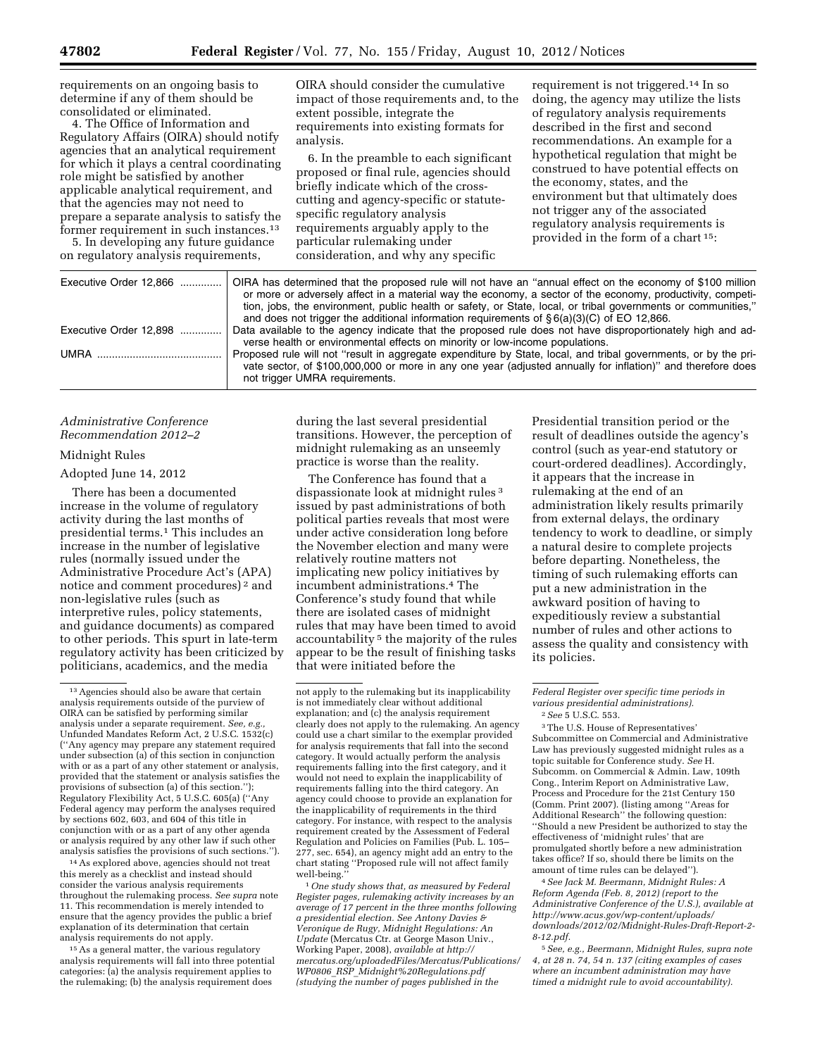requirements on an ongoing basis to determine if any of them should be consolidated or eliminated.

4. The Office of Information and Regulatory Affairs (OIRA) should notify agencies that an analytical requirement for which it plays a central coordinating role might be satisfied by another applicable analytical requirement, and that the agencies may not need to prepare a separate analysis to satisfy the former requirement in such instances.13

5. In developing any future guidance on regulatory analysis requirements,

OIRA should consider the cumulative impact of those requirements and, to the extent possible, integrate the requirements into existing formats for analysis.

6. In the preamble to each significant proposed or final rule, agencies should briefly indicate which of the crosscutting and agency-specific or statutespecific regulatory analysis requirements arguably apply to the particular rulemaking under consideration, and why any specific

requirement is not triggered.14 In so doing, the agency may utilize the lists of regulatory analysis requirements described in the first and second recommendations. An example for a hypothetical regulation that might be construed to have potential effects on the economy, states, and the environment but that ultimately does not trigger any of the associated regulatory analysis requirements is provided in the form of a chart 15:

| Executive Order 12,866 | OIRA has determined that the proposed rule will not have an "annual effect on the economy of \$100 million<br>or more or adversely affect in a material way the economy, a sector of the economy, productivity, competi-<br>tion, jobs, the environment, public health or safety, or State, local, or tribal governments or communities,"<br>and does not trigger the additional information requirements of $\S 6(a)(3)(C)$ of EO 12,866. |
|------------------------|--------------------------------------------------------------------------------------------------------------------------------------------------------------------------------------------------------------------------------------------------------------------------------------------------------------------------------------------------------------------------------------------------------------------------------------------|
| Executive Order 12.898 | Data available to the agency indicate that the proposed rule does not have disproportionately high and ad-<br>verse health or environmental effects on minority or low-income populations.                                                                                                                                                                                                                                                 |
|                        | Proposed rule will not "result in aggregate expenditure by State, local, and tribal governments, or by the pri-<br>vate sector, of \$100,000,000 or more in any one year (adjusted annually for inflation)" and therefore does<br>not trigger UMRA requirements.                                                                                                                                                                           |

## *Administrative Conference Recommendation 2012–2*

## Midnight Rules

## Adopted June 14, 2012

There has been a documented increase in the volume of regulatory activity during the last months of presidential terms.1 This includes an increase in the number of legislative rules (normally issued under the Administrative Procedure Act's (APA) notice and comment procedures) 2 and non-legislative rules (such as interpretive rules, policy statements, and guidance documents) as compared to other periods. This spurt in late-term regulatory activity has been criticized by politicians, academics, and the media

14As explored above, agencies should not treat this merely as a checklist and instead should consider the various analysis requirements throughout the rulemaking process. *See supra* note 11. This recommendation is merely intended to ensure that the agency provides the public a brief explanation of its determination that certain analysis requirements do not apply.

15As a general matter, the various regulatory analysis requirements will fall into three potential categories: (a) the analysis requirement applies to the rulemaking; (b) the analysis requirement does

during the last several presidential transitions. However, the perception of midnight rulemaking as an unseemly practice is worse than the reality.

The Conference has found that a dispassionate look at midnight rules 3 issued by past administrations of both political parties reveals that most were under active consideration long before the November election and many were relatively routine matters not implicating new policy initiatives by incumbent administrations.4 The Conference's study found that while there are isolated cases of midnight rules that may have been timed to avoid accountability 5 the majority of the rules appear to be the result of finishing tasks that were initiated before the

1*One study shows that, as measured by Federal Register pages, rulemaking activity increases by an average of 17 percent in the three months following a presidential election. See Antony Davies & Veronique de Rugy, Midnight Regulations: An Update* (Mercatus Ctr. at George Mason Univ., Working Paper, 2008), *available at [http://](http://mercatus.org/uploadedFiles/Mercatus/Publications/WP0806_RSP_Midnight%20Regulations.pdf) [mercatus.org/uploadedFiles/Mercatus/Publications/](http://mercatus.org/uploadedFiles/Mercatus/Publications/WP0806_RSP_Midnight%20Regulations.pdf)  WP0806*\_*RSP*\_*[Midnight%20Regulations.pdf](http://mercatus.org/uploadedFiles/Mercatus/Publications/WP0806_RSP_Midnight%20Regulations.pdf) (studying the number of pages published in the* 

Presidential transition period or the result of deadlines outside the agency's control (such as year-end statutory or court-ordered deadlines). Accordingly, it appears that the increase in rulemaking at the end of an administration likely results primarily from external delays, the ordinary tendency to work to deadline, or simply a natural desire to complete projects before departing. Nonetheless, the timing of such rulemaking efforts can put a new administration in the awkward position of having to expeditiously review a substantial number of rules and other actions to assess the quality and consistency with its policies.

3The U.S. House of Representatives' Subcommittee on Commercial and Administrative Law has previously suggested midnight rules as a topic suitable for Conference study. *See* H. Subcomm. on Commercial & Admin. Law, 109th Cong., Interim Report on Administrative Law, Process and Procedure for the 21st Century 150 (Comm. Print 2007). (listing among ''Areas for Additional Research'' the following question: ''Should a new President be authorized to stay the effectiveness of 'midnight rules' that are promulgated shortly before a new administration takes office? If so, should there be limits on the amount of time rules can be delayed'').

4*See Jack M. Beermann, Midnight Rules: A Reform Agenda (Feb. 8, 2012) (report to the Administrative Conference of the U.S.), available at [http://www.acus.gov/wp-content/uploads/](http://www.acus.gov/wp-content/uploads/downloads/2012/02/Midnight-Rules-Draft-Report-2-8-12.pdf) [downloads/2012/02/Midnight-Rules-Draft-Report-2-](http://www.acus.gov/wp-content/uploads/downloads/2012/02/Midnight-Rules-Draft-Report-2-8-12.pdf)  [8-12.pdf.](http://www.acus.gov/wp-content/uploads/downloads/2012/02/Midnight-Rules-Draft-Report-2-8-12.pdf)* 

5*See, e.g., Beermann, Midnight Rules, supra note 4, at 28 n. 74, 54 n. 137 (citing examples of cases where an incumbent administration may have timed a midnight rule to avoid accountability).* 

<sup>13</sup>Agencies should also be aware that certain analysis requirements outside of the purview of OIRA can be satisfied by performing similar analysis under a separate requirement. See, e.g Unfunded Mandates Reform Act, 2 U.S.C. 1532(c) (''Any agency may prepare any statement required under subsection (a) of this section in conjunction with or as a part of any other statement or analysis, provided that the statement or analysis satisfies the provisions of subsection (a) of this section.''); Regulatory Flexibility Act, 5 U.S.C. 605(a) (''Any Federal agency may perform the analyses required by sections 602, 603, and 604 of this title in conjunction with or as a part of any other agenda or analysis required by any other law if such other analysis satisfies the provisions of such sections.'').

not apply to the rulemaking but its inapplicability is not immediately clear without additional explanation; and (c) the analysis requirement clearly does not apply to the rulemaking. An agency could use a chart similar to the exemplar provided for analysis requirements that fall into the second category. It would actually perform the analysis requirements falling into the first category, and it would not need to explain the inapplicability of requirements falling into the third category. An agency could choose to provide an explanation for the inapplicability of requirements in the third category. For instance, with respect to the analysis requirement created by the Assessment of Federal Regulation and Policies on Families (Pub. L. 105– 277, sec. 654), an agency might add an entry to the chart stating ''Proposed rule will not affect family well-being.

*Federal Register over specific time periods in various presidential administrations).*  2*See* 5 U.S.C. 553.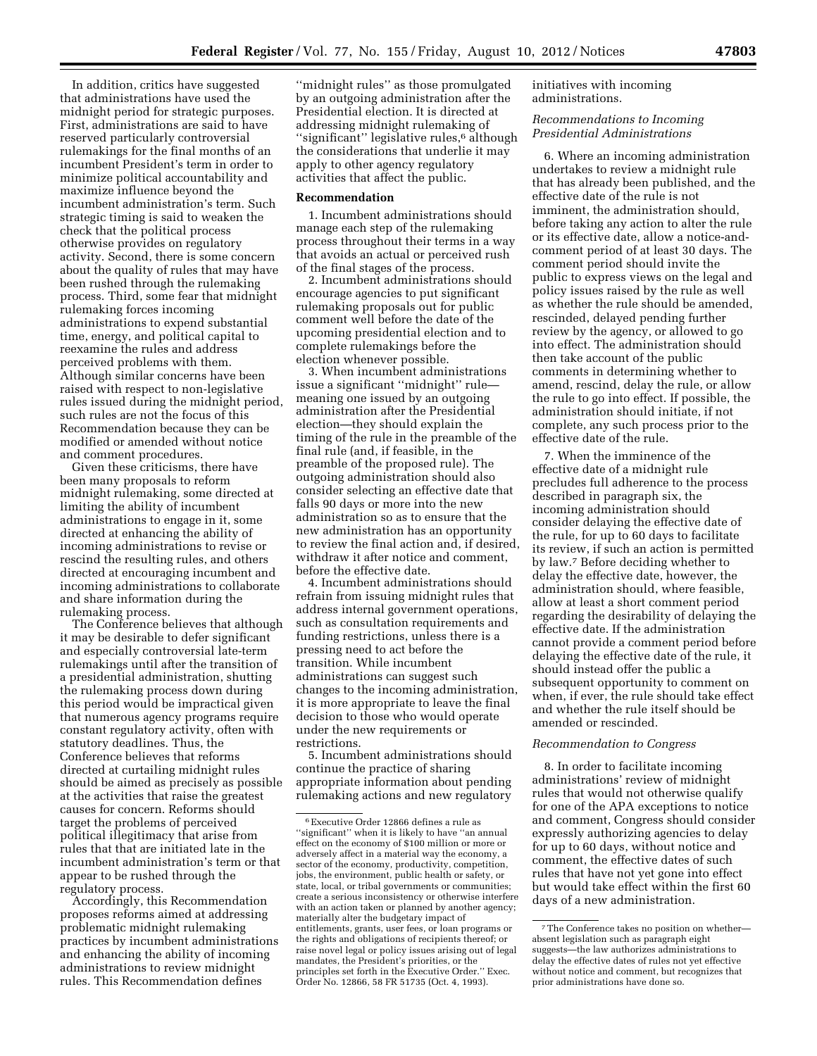In addition, critics have suggested that administrations have used the midnight period for strategic purposes. First, administrations are said to have reserved particularly controversial rulemakings for the final months of an incumbent President's term in order to minimize political accountability and maximize influence beyond the incumbent administration's term. Such strategic timing is said to weaken the check that the political process otherwise provides on regulatory activity. Second, there is some concern about the quality of rules that may have been rushed through the rulemaking process. Third, some fear that midnight rulemaking forces incoming administrations to expend substantial time, energy, and political capital to reexamine the rules and address perceived problems with them. Although similar concerns have been raised with respect to non-legislative rules issued during the midnight period, such rules are not the focus of this Recommendation because they can be modified or amended without notice and comment procedures.

Given these criticisms, there have been many proposals to reform midnight rulemaking, some directed at limiting the ability of incumbent administrations to engage in it, some directed at enhancing the ability of incoming administrations to revise or rescind the resulting rules, and others directed at encouraging incumbent and incoming administrations to collaborate and share information during the rulemaking process.

The Conference believes that although it may be desirable to defer significant and especially controversial late-term rulemakings until after the transition of a presidential administration, shutting the rulemaking process down during this period would be impractical given that numerous agency programs require constant regulatory activity, often with statutory deadlines. Thus, the Conference believes that reforms directed at curtailing midnight rules should be aimed as precisely as possible at the activities that raise the greatest causes for concern. Reforms should target the problems of perceived political illegitimacy that arise from rules that that are initiated late in the incumbent administration's term or that appear to be rushed through the regulatory process.

Accordingly, this Recommendation proposes reforms aimed at addressing problematic midnight rulemaking practices by incumbent administrations and enhancing the ability of incoming administrations to review midnight rules. This Recommendation defines

''midnight rules'' as those promulgated by an outgoing administration after the Presidential election. It is directed at addressing midnight rulemaking of "significant" legislative rules,<sup>6</sup> although the considerations that underlie it may apply to other agency regulatory activities that affect the public.

#### **Recommendation**

1. Incumbent administrations should manage each step of the rulemaking process throughout their terms in a way that avoids an actual or perceived rush of the final stages of the process.

2. Incumbent administrations should encourage agencies to put significant rulemaking proposals out for public comment well before the date of the upcoming presidential election and to complete rulemakings before the election whenever possible.

3. When incumbent administrations issue a significant ''midnight'' rule meaning one issued by an outgoing administration after the Presidential election—they should explain the timing of the rule in the preamble of the final rule (and, if feasible, in the preamble of the proposed rule). The outgoing administration should also consider selecting an effective date that falls 90 days or more into the new administration so as to ensure that the new administration has an opportunity to review the final action and, if desired, withdraw it after notice and comment, before the effective date.

4. Incumbent administrations should refrain from issuing midnight rules that address internal government operations, such as consultation requirements and funding restrictions, unless there is a pressing need to act before the transition. While incumbent administrations can suggest such changes to the incoming administration, it is more appropriate to leave the final decision to those who would operate under the new requirements or restrictions.

5. Incumbent administrations should continue the practice of sharing appropriate information about pending rulemaking actions and new regulatory

initiatives with incoming administrations.

# *Recommendations to Incoming Presidential Administrations*

6. Where an incoming administration undertakes to review a midnight rule that has already been published, and the effective date of the rule is not imminent, the administration should, before taking any action to alter the rule or its effective date, allow a notice-andcomment period of at least 30 days. The comment period should invite the public to express views on the legal and policy issues raised by the rule as well as whether the rule should be amended, rescinded, delayed pending further review by the agency, or allowed to go into effect. The administration should then take account of the public comments in determining whether to amend, rescind, delay the rule, or allow the rule to go into effect. If possible, the administration should initiate, if not complete, any such process prior to the effective date of the rule.

7. When the imminence of the effective date of a midnight rule precludes full adherence to the process described in paragraph six, the incoming administration should consider delaying the effective date of the rule, for up to 60 days to facilitate its review, if such an action is permitted by law.7 Before deciding whether to delay the effective date, however, the administration should, where feasible, allow at least a short comment period regarding the desirability of delaying the effective date. If the administration cannot provide a comment period before delaying the effective date of the rule, it should instead offer the public a subsequent opportunity to comment on when, if ever, the rule should take effect and whether the rule itself should be amended or rescinded.

## *Recommendation to Congress*

8. In order to facilitate incoming administrations' review of midnight rules that would not otherwise qualify for one of the APA exceptions to notice and comment, Congress should consider expressly authorizing agencies to delay for up to 60 days, without notice and comment, the effective dates of such rules that have not yet gone into effect but would take effect within the first 60 days of a new administration.

<sup>6</sup>Executive Order 12866 defines a rule as ''significant'' when it is likely to have ''an annual effect on the economy of \$100 million or more or adversely affect in a material way the economy, a sector of the economy, productivity, competition, jobs, the environment, public health or safety, or state, local, or tribal governments or communities; create a serious inconsistency or otherwise interfere with an action taken or planned by another agency; materially alter the budgetary impact of entitlements, grants, user fees, or loan programs or the rights and obligations of recipients thereof; or raise novel legal or policy issues arising out of legal mandates, the President's priorities, or the principles set forth in the Executive Order.'' Exec. Order No. 12866, 58 FR 51735 (Oct. 4, 1993).

<sup>7</sup>The Conference takes no position on whether absent legislation such as paragraph eight suggests—the law authorizes administrations to delay the effective dates of rules not yet effective without notice and comment, but recognizes that prior administrations have done so.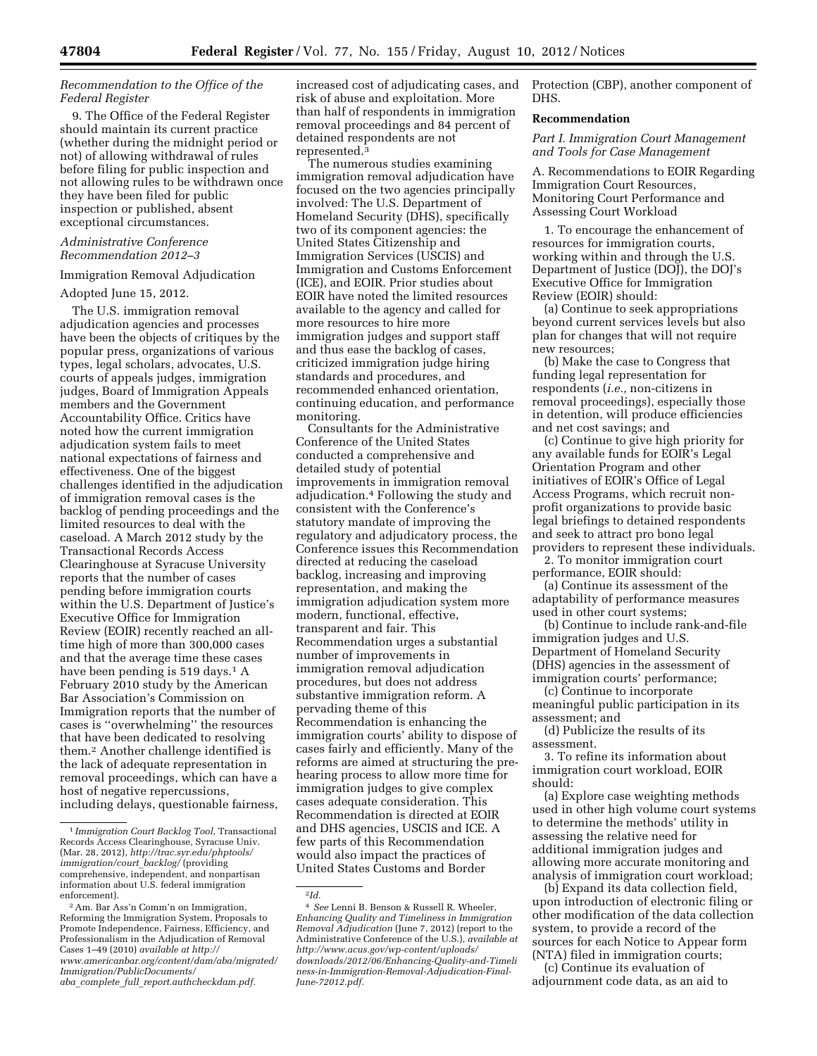# *Recommendation to the Office of the Federal Register*

9. The Office of the Federal Register should maintain its current practice (whether during the midnight period or not) of allowing withdrawal of rules before filing for public inspection and not allowing rules to be withdrawn once they have been filed for public inspection or published, absent exceptional circumstances.

# *Administrative Conference Recommendation 2012–3*

## Immigration Removal Adjudication

#### Adopted June 15, 2012.

The U.S. immigration removal adjudication agencies and processes have been the objects of critiques by the popular press, organizations of various types, legal scholars, advocates, U.S. courts of appeals judges, immigration judges, Board of Immigration Appeals members and the Government Accountability Office. Critics have noted how the current immigration adjudication system fails to meet national expectations of fairness and effectiveness. One of the biggest challenges identified in the adjudication of immigration removal cases is the backlog of pending proceedings and the limited resources to deal with the caseload. A March 2012 study by the Transactional Records Access Clearinghouse at Syracuse University reports that the number of cases pending before immigration courts within the U.S. Department of Justice's Executive Office for Immigration Review (EOIR) recently reached an alltime high of more than 300,000 cases and that the average time these cases have been pending is 519 days.<sup>1</sup> A February 2010 study by the American Bar Association's Commission on Immigration reports that the number of cases is ''overwhelming'' the resources that have been dedicated to resolving them.2 Another challenge identified is the lack of adequate representation in removal proceedings, which can have a host of negative repercussions, including delays, questionable fairness,

increased cost of adjudicating cases, and risk of abuse and exploitation. More than half of respondents in immigration removal proceedings and 84 percent of detained respondents are not represented.3

The numerous studies examining immigration removal adjudication have focused on the two agencies principally involved: The U.S. Department of Homeland Security (DHS), specifically two of its component agencies: the United States Citizenship and Immigration Services (USCIS) and Immigration and Customs Enforcement (ICE), and EOIR. Prior studies about EOIR have noted the limited resources available to the agency and called for more resources to hire more immigration judges and support staff and thus ease the backlog of cases, criticized immigration judge hiring standards and procedures, and recommended enhanced orientation, continuing education, and performance monitoring.

Consultants for the Administrative Conference of the United States conducted a comprehensive and detailed study of potential improvements in immigration removal adjudication.4 Following the study and consistent with the Conference's statutory mandate of improving the regulatory and adjudicatory process, the Conference issues this Recommendation directed at reducing the caseload backlog, increasing and improving representation, and making the immigration adjudication system more modern, functional, effective, transparent and fair. This Recommendation urges a substantial number of improvements in immigration removal adjudication procedures, but does not address substantive immigration reform. A pervading theme of this Recommendation is enhancing the immigration courts' ability to dispose of cases fairly and efficiently. Many of the reforms are aimed at structuring the prehearing process to allow more time for immigration judges to give complex cases adequate consideration. This Recommendation is directed at EOIR and DHS agencies, USCIS and ICE. A few parts of this Recommendation would also impact the practices of United States Customs and Border

2*Id.* 

Protection (CBP), another component of DHS.

## **Recommendation**

*Part I. Immigration Court Management and Tools for Case Management* 

A. Recommendations to EOIR Regarding Immigration Court Resources, Monitoring Court Performance and Assessing Court Workload

1. To encourage the enhancement of resources for immigration courts, working within and through the U.S. Department of Justice (DOJ), the DOJ's Executive Office for Immigration Review (EOIR) should:

(a) Continue to seek appropriations beyond current services levels but also plan for changes that will not require new resources;

(b) Make the case to Congress that funding legal representation for respondents (*i.e.,* non-citizens in removal proceedings), especially those in detention, will produce efficiencies and net cost savings; and

(c) Continue to give high priority for any available funds for EOIR's Legal Orientation Program and other initiatives of EOIR's Office of Legal Access Programs, which recruit nonprofit organizations to provide basic legal briefings to detained respondents and seek to attract pro bono legal providers to represent these individuals.

2. To monitor immigration court performance, EOIR should:

(a) Continue its assessment of the adaptability of performance measures used in other court systems;

(b) Continue to include rank-and-file immigration judges and U.S. Department of Homeland Security (DHS) agencies in the assessment of immigration courts' performance;

(c) Continue to incorporate meaningful public participation in its assessment; and

(d) Publicize the results of its assessment.

3. To refine its information about immigration court workload, EOIR should:

(a) Explore case weighting methods used in other high volume court systems to determine the methods' utility in assessing the relative need for additional immigration judges and allowing more accurate monitoring and analysis of immigration court workload;

(b) Expand its data collection field, upon introduction of electronic filing or other modification of the data collection system, to provide a record of the sources for each Notice to Appear form (NTA) filed in immigration courts;

(c) Continue its evaluation of adjournment code data, as an aid to

<sup>1</sup> *Immigration Court Backlog Tool,* Transactional Records Access Clearinghouse, Syracuse Univ. (Mar. 28, 2012), *[http://trac.syr.edu/phptools/](http://trac.syr.edu/phptools/immigration/court_backlog/)  [immigration/court](http://trac.syr.edu/phptools/immigration/court_backlog/)*\_*backlog/* (providing comprehensive, independent, and nonpartisan information about U.S. federal immigration enforcement).

<sup>2</sup>Am. Bar Ass'n Comm'n on Immigration, Reforming the Immigration System, Proposals to Promote Independence, Fairness, Efficiency, and Professionalism in the Adjudication of Removal Cases 1–49 (2010) *available at [http://](http://www.americanbar.org/content/dam/aba/migrated/Immigration/PublicDocuments/aba_complete_full_report.authcheckdam.pdf) [www.americanbar.org/content/dam/aba/migrated/](http://www.americanbar.org/content/dam/aba/migrated/Immigration/PublicDocuments/aba_complete_full_report.authcheckdam.pdf) [Immigration/PublicDocuments/](http://www.americanbar.org/content/dam/aba/migrated/Immigration/PublicDocuments/aba_complete_full_report.authcheckdam.pdf)* 

*aba*\_*complete*\_*full*\_*[report.authcheckdam.pdf.](http://www.americanbar.org/content/dam/aba/migrated/Immigration/PublicDocuments/aba_complete_full_report.authcheckdam.pdf)* 

<sup>4</sup> *See* Lenni B. Benson & Russell R. Wheeler, *Enhancing Quality and Timeliness in Immigration Removal Adjudication* (June 7, 2012) (report to the Administrative Conference of the U.S.), *available at [http://www.acus.gov/w](http://www.acus.gov)p-content/uploads/ downloads/2012/06/Enhancing-Quality-and-Timeli ness-in-Immigration-Removal-Adjudication-Final-June-72012.pdf.*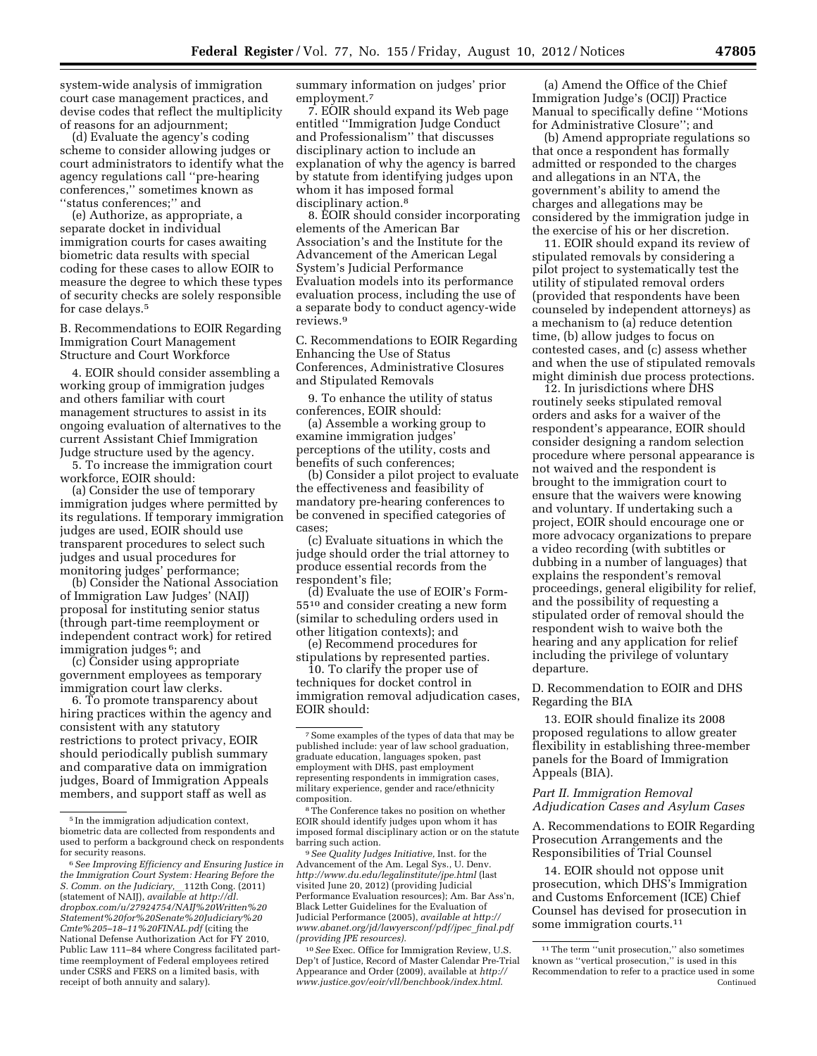system-wide analysis of immigration court case management practices, and devise codes that reflect the multiplicity of reasons for an adjournment;

(d) Evaluate the agency's coding scheme to consider allowing judges or court administrators to identify what the agency regulations call ''pre-hearing conferences,'' sometimes known as ''status conferences;'' and

(e) Authorize, as appropriate, a separate docket in individual immigration courts for cases awaiting biometric data results with special coding for these cases to allow EOIR to measure the degree to which these types of security checks are solely responsible for case delays.5

B. Recommendations to EOIR Regarding Immigration Court Management Structure and Court Workforce

4. EOIR should consider assembling a working group of immigration judges and others familiar with court management structures to assist in its ongoing evaluation of alternatives to the current Assistant Chief Immigration Judge structure used by the agency.

5. To increase the immigration court workforce, EOIR should:

(a) Consider the use of temporary immigration judges where permitted by its regulations. If temporary immigration judges are used, EOIR should use transparent procedures to select such judges and usual procedures for monitoring judges' performance;

(b) Consider the National Association of Immigration Law Judges' (NAIJ) proposal for instituting senior status (through part-time reemployment or independent contract work) for retired immigration judges 6; and

(c) Consider using appropriate government employees as temporary immigration court law clerks.

6. To promote transparency about hiring practices within the agency and consistent with any statutory restrictions to protect privacy, EOIR should periodically publish summary and comparative data on immigration judges, Board of Immigration Appeals members, and support staff as well as

summary information on judges' prior employment.7

7. EOIR should expand its Web page entitled ''Immigration Judge Conduct and Professionalism'' that discusses disciplinary action to include an explanation of why the agency is barred by statute from identifying judges upon whom it has imposed formal disciplinary action.<sup>8</sup>

8. EOIR should consider incorporating elements of the American Bar Association's and the Institute for the Advancement of the American Legal System's Judicial Performance Evaluation models into its performance evaluation process, including the use of a separate body to conduct agency-wide reviews.9

C. Recommendations to EOIR Regarding Enhancing the Use of Status Conferences, Administrative Closures and Stipulated Removals

9. To enhance the utility of status conferences, EOIR should:

(a) Assemble a working group to examine immigration judges' perceptions of the utility, costs and benefits of such conferences;

(b) Consider a pilot project to evaluate the effectiveness and feasibility of mandatory pre-hearing conferences to be convened in specified categories of cases;

(c) Evaluate situations in which the judge should order the trial attorney to produce essential records from the respondent's file;

(d) Evaluate the use of EOIR's Form-5510 and consider creating a new form (similar to scheduling orders used in other litigation contexts); and

(e) Recommend procedures for stipulations by represented parties.

10. To clarify the proper use of techniques for docket control in immigration removal adjudication cases, EOIR should:

9*See Quality Judges Initiative,* Inst. for the Advancement of the Am. Legal Sys., U. Denv. *<http://www.du.edu/legalinstitute/jpe.html>* (last visited June 20, 2012) (providing Judicial Performance Evaluation resources); Am. Bar Ass'n, Black Letter Guidelines for the Evaluation of Judicial Performance (2005), *available at [http://](http://www.abanet.org/jd/lawyersconf/pdf/jpec_final.pdf) [www.abanet.org/jd/lawyersconf/pdf/jpec](http://www.abanet.org/jd/lawyersconf/pdf/jpec_final.pdf)*\_*final.pdf (providing JPE resources).* 

10*See* Exec. Office for Immigration Review, U.S. Dep't of Justice, Record of Master Calendar Pre-Trial Appearance and Order (2009), available at *[http://](http://www.justice.gov/eoir/vll/benchbook/index.html) [www.justice.gov/eoir/vll/benchbook/index.html](http://www.justice.gov/eoir/vll/benchbook/index.html)*.

(a) Amend the Office of the Chief Immigration Judge's (OCIJ) Practice Manual to specifically define ''Motions for Administrative Closure''; and

(b) Amend appropriate regulations so that once a respondent has formally admitted or responded to the charges and allegations in an NTA, the government's ability to amend the charges and allegations may be considered by the immigration judge in the exercise of his or her discretion.

11. EOIR should expand its review of stipulated removals by considering a pilot project to systematically test the utility of stipulated removal orders (provided that respondents have been counseled by independent attorneys) as a mechanism to (a) reduce detention time, (b) allow judges to focus on contested cases, and (c) assess whether and when the use of stipulated removals might diminish due process protections.

12. In jurisdictions where DHS routinely seeks stipulated removal orders and asks for a waiver of the respondent's appearance, EOIR should consider designing a random selection procedure where personal appearance is not waived and the respondent is brought to the immigration court to ensure that the waivers were knowing and voluntary. If undertaking such a project, EOIR should encourage one or more advocacy organizations to prepare a video recording (with subtitles or dubbing in a number of languages) that explains the respondent's removal proceedings, general eligibility for relief, and the possibility of requesting a stipulated order of removal should the respondent wish to waive both the hearing and any application for relief including the privilege of voluntary departure.

D. Recommendation to EOIR and DHS Regarding the BIA

13. EOIR should finalize its 2008 proposed regulations to allow greater flexibility in establishing three-member panels for the Board of Immigration Appeals (BIA).

## *Part II. Immigration Removal Adjudication Cases and Asylum Cases*

A. Recommendations to EOIR Regarding Prosecution Arrangements and the Responsibilities of Trial Counsel

14. EOIR should not oppose unit prosecution, which DHS's Immigration and Customs Enforcement (ICE) Chief Counsel has devised for prosecution in some immigration courts.11

<sup>5</sup> In the immigration adjudication context, biometric data are collected from respondents and used to perform a background check on respondents for security reasons.

<sup>6</sup>*See Improving Efficiency and Ensuring Justice in the Immigration Court System: Hearing Before the S. Comm. on the Judiciary,* \_\_ 112th Cong. (2011) (statement of NAIJ), *available at [http://dl.](http://dl.dropbox.com/u/27924754/NAIJ%20Written%20Statement%20for%20Senate%20Judiciary%20Cmte%205-18-11%20FINAL.pdf) [dropbox.com/u/27924754/NAIJ%20Written%20](http://dl.dropbox.com/u/27924754/NAIJ%20Written%20Statement%20for%20Senate%20Judiciary%20Cmte%205-18-11%20FINAL.pdf) [Statement%20for%20Senate%20Judiciary%20](http://dl.dropbox.com/u/27924754/NAIJ%20Written%20Statement%20for%20Senate%20Judiciary%20Cmte%205-18-11%20FINAL.pdf) [Cmte%205–18–11%20FINAL.pdf](http://dl.dropbox.com/u/27924754/NAIJ%20Written%20Statement%20for%20Senate%20Judiciary%20Cmte%205-18-11%20FINAL.pdf)* (citing the National Defense Authorization Act for FY 2010, Public Law 111–84 where Congress facilitated parttime reemployment of Federal employees retired under CSRS and FERS on a limited basis, with receipt of both annuity and salary).

<sup>7</sup>Some examples of the types of data that may be published include: year of law school graduation, graduate education, languages spoken, past employment with DHS, past employment representing respondents in immigration cases, military experience, gender and race/ethnicity composition.

<sup>&</sup>lt;sup>8</sup>The Conference takes no position on whether EOIR should identify judges upon whom it has imposed formal disciplinary action or on the statute barring such action.

<sup>11</sup>The term ''unit prosecution,'' also sometimes known as ''vertical prosecution,'' is used in this Recommendation to refer to a practice used in some Continued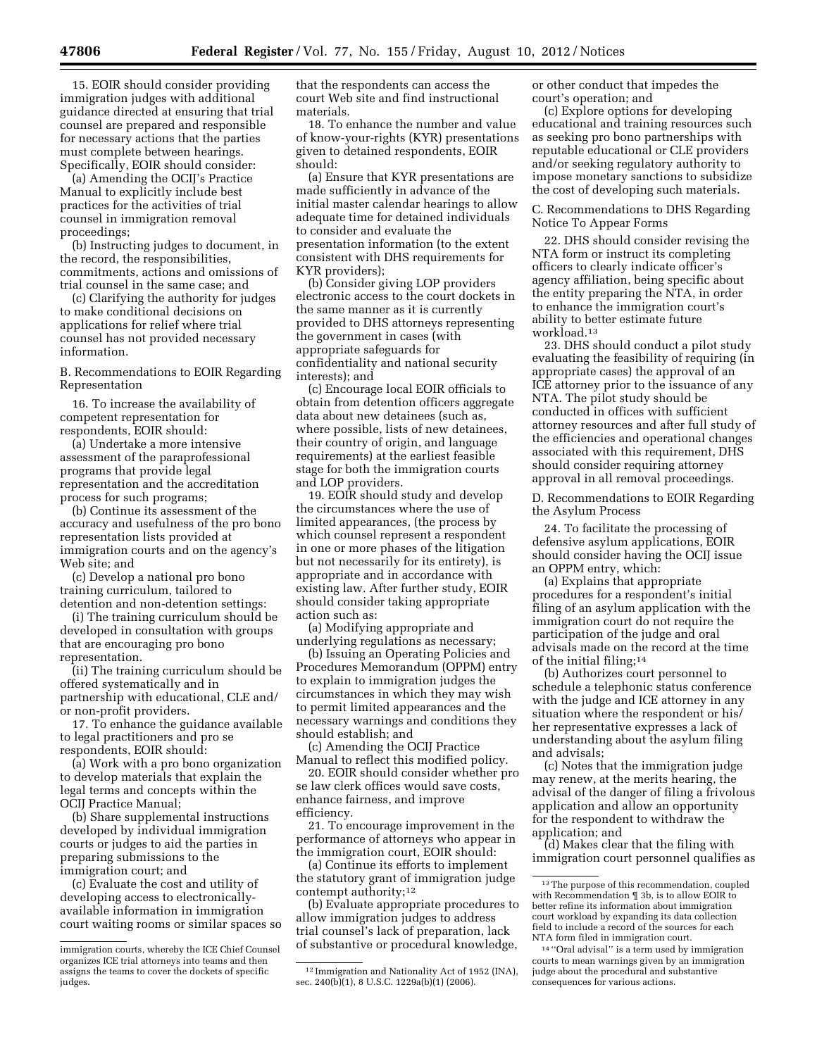15. EOIR should consider providing immigration judges with additional guidance directed at ensuring that trial counsel are prepared and responsible for necessary actions that the parties must complete between hearings. Specifically, EOIR should consider:

(a) Amending the OCIJ's Practice Manual to explicitly include best practices for the activities of trial counsel in immigration removal proceedings;

(b) Instructing judges to document, in the record, the responsibilities, commitments, actions and omissions of trial counsel in the same case; and

(c) Clarifying the authority for judges to make conditional decisions on applications for relief where trial counsel has not provided necessary information.

B. Recommendations to EOIR Regarding Representation

16. To increase the availability of competent representation for respondents, EOIR should:

(a) Undertake a more intensive assessment of the paraprofessional programs that provide legal representation and the accreditation process for such programs;

(b) Continue its assessment of the accuracy and usefulness of the pro bono representation lists provided at immigration courts and on the agency's Web site; and

(c) Develop a national pro bono training curriculum, tailored to detention and non-detention settings:

(i) The training curriculum should be developed in consultation with groups that are encouraging pro bono representation.

(ii) The training curriculum should be offered systematically and in partnership with educational, CLE and/ or non-profit providers.

17. To enhance the guidance available to legal practitioners and pro se respondents, EOIR should:

(a) Work with a pro bono organization to develop materials that explain the legal terms and concepts within the OCIJ Practice Manual;

(b) Share supplemental instructions developed by individual immigration courts or judges to aid the parties in preparing submissions to the immigration court; and

(c) Evaluate the cost and utility of developing access to electronicallyavailable information in immigration court waiting rooms or similar spaces so that the respondents can access the court Web site and find instructional materials.

18. To enhance the number and value of know-your-rights (KYR) presentations given to detained respondents, EOIR should:

(a) Ensure that KYR presentations are made sufficiently in advance of the initial master calendar hearings to allow adequate time for detained individuals to consider and evaluate the presentation information (to the extent consistent with DHS requirements for KYR providers);

(b) Consider giving LOP providers electronic access to the court dockets in the same manner as it is currently provided to DHS attorneys representing the government in cases (with appropriate safeguards for confidentiality and national security interests); and

(c) Encourage local EOIR officials to obtain from detention officers aggregate data about new detainees (such as, where possible, lists of new detainees, their country of origin, and language requirements) at the earliest feasible stage for both the immigration courts and LOP providers.

19. EOIR should study and develop the circumstances where the use of limited appearances, (the process by which counsel represent a respondent in one or more phases of the litigation but not necessarily for its entirety), is appropriate and in accordance with existing law. After further study, EOIR should consider taking appropriate action such as:

(a) Modifying appropriate and underlying regulations as necessary;

(b) Issuing an Operating Policies and Procedures Memorandum (OPPM) entry to explain to immigration judges the circumstances in which they may wish to permit limited appearances and the necessary warnings and conditions they should establish; and

(c) Amending the OCIJ Practice Manual to reflect this modified policy.

20. EOIR should consider whether pro se law clerk offices would save costs, enhance fairness, and improve efficiency.

21. To encourage improvement in the performance of attorneys who appear in the immigration court, EOIR should:

(a) Continue its efforts to implement the statutory grant of immigration judge contempt authority;<sup>12</sup>

(b) Evaluate appropriate procedures to allow immigration judges to address trial counsel's lack of preparation, lack of substantive or procedural knowledge,

or other conduct that impedes the court's operation; and

(c) Explore options for developing educational and training resources such as seeking pro bono partnerships with reputable educational or CLE providers and/or seeking regulatory authority to impose monetary sanctions to subsidize the cost of developing such materials.

C. Recommendations to DHS Regarding Notice To Appear Forms

22. DHS should consider revising the NTA form or instruct its completing officers to clearly indicate officer's agency affiliation, being specific about the entity preparing the NTA, in order to enhance the immigration court's ability to better estimate future workload.13

23. DHS should conduct a pilot study evaluating the feasibility of requiring (in appropriate cases) the approval of an ICE attorney prior to the issuance of any NTA. The pilot study should be conducted in offices with sufficient attorney resources and after full study of the efficiencies and operational changes associated with this requirement, DHS should consider requiring attorney approval in all removal proceedings.

D. Recommendations to EOIR Regarding the Asylum Process

24. To facilitate the processing of defensive asylum applications, EOIR should consider having the OCIJ issue an OPPM entry, which:

(a) Explains that appropriate procedures for a respondent's initial filing of an asylum application with the immigration court do not require the participation of the judge and oral advisals made on the record at the time of the initial filing;14

(b) Authorizes court personnel to schedule a telephonic status conference with the judge and ICE attorney in any situation where the respondent or his/ her representative expresses a lack of understanding about the asylum filing and advisals;

(c) Notes that the immigration judge may renew, at the merits hearing, the advisal of the danger of filing a frivolous application and allow an opportunity for the respondent to withdraw the application; and

(d) Makes clear that the filing with immigration court personnel qualifies as

immigration courts, whereby the ICE Chief Counsel organizes ICE trial attorneys into teams and then assigns the teams to cover the dockets of specific judges.

<sup>12</sup> Immigration and Nationality Act of 1952 (INA), sec. 240(b)(1), 8 U.S.C. 1229a(b)(1) (2006).

<sup>&</sup>lt;sup>13</sup>The purpose of this recommendation, coupled with Recommendation ¶ 3b, is to allow EOIR to better refine its information about immigration court workload by expanding its data collection field to include a record of the sources for each NTA form filed in immigration court.

<sup>14</sup> ''Oral advisal'' is a term used by immigration courts to mean warnings given by an immigration judge about the procedural and substantive consequences for various actions.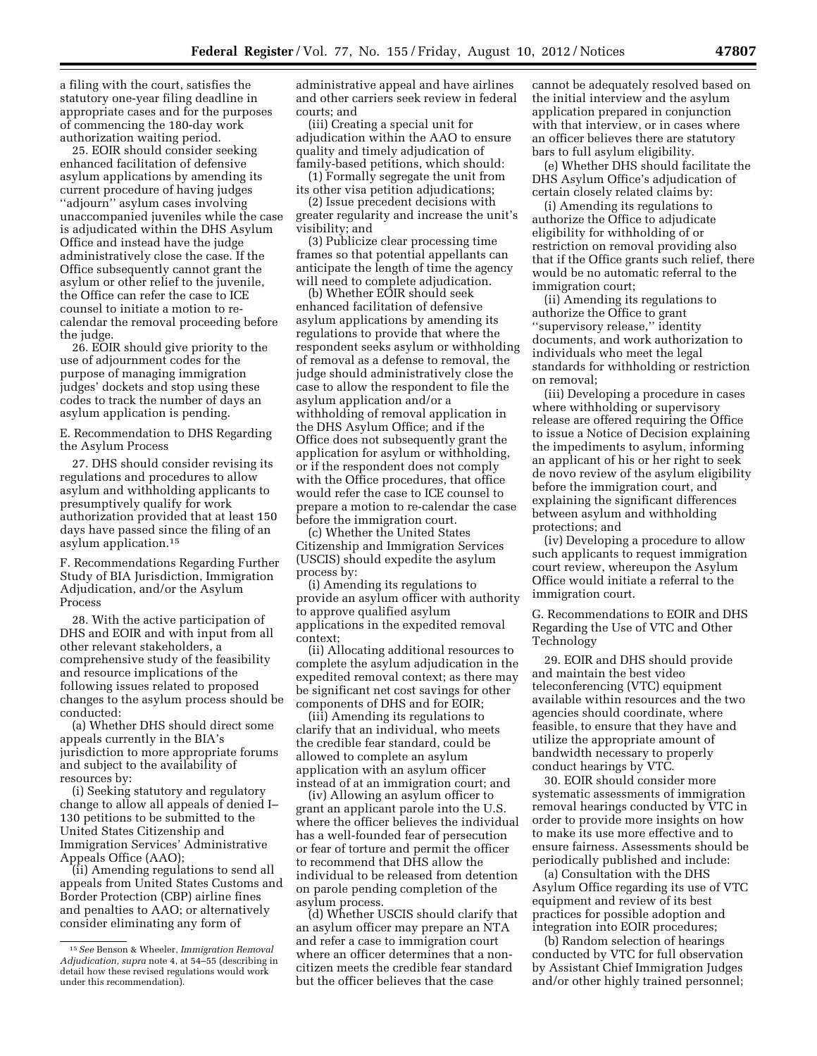a filing with the court, satisfies the statutory one-year filing deadline in appropriate cases and for the purposes of commencing the 180-day work authorization waiting period.

25. EOIR should consider seeking enhanced facilitation of defensive asylum applications by amending its current procedure of having judges ''adjourn'' asylum cases involving unaccompanied juveniles while the case is adjudicated within the DHS Asylum Office and instead have the judge administratively close the case. If the Office subsequently cannot grant the asylum or other relief to the juvenile, the Office can refer the case to ICE counsel to initiate a motion to recalendar the removal proceeding before the judge.

26. EOIR should give priority to the use of adjournment codes for the purpose of managing immigration judges' dockets and stop using these codes to track the number of days an asylum application is pending.

E. Recommendation to DHS Regarding the Asylum Process

27. DHS should consider revising its regulations and procedures to allow asylum and withholding applicants to presumptively qualify for work authorization provided that at least 150 days have passed since the filing of an asylum application.15

F. Recommendations Regarding Further Study of BIA Jurisdiction, Immigration Adjudication, and/or the Asylum Process

28. With the active participation of DHS and EOIR and with input from all other relevant stakeholders, a comprehensive study of the feasibility and resource implications of the following issues related to proposed changes to the asylum process should be conducted:

(a) Whether DHS should direct some appeals currently in the BIA's jurisdiction to more appropriate forums and subject to the availability of resources by:

(i) Seeking statutory and regulatory change to allow all appeals of denied I– 130 petitions to be submitted to the United States Citizenship and Immigration Services' Administrative Appeals Office (AAO);

(ii) Amending regulations to send all appeals from United States Customs and Border Protection (CBP) airline fines and penalties to AAO; or alternatively consider eliminating any form of

administrative appeal and have airlines and other carriers seek review in federal courts; and

(iii) Creating a special unit for adjudication within the AAO to ensure quality and timely adjudication of family-based petitions, which should:

(1) Formally segregate the unit from its other visa petition adjudications;

(2) Issue precedent decisions with greater regularity and increase the unit's visibility; and

(3) Publicize clear processing time frames so that potential appellants can anticipate the length of time the agency will need to complete adjudication.

(b) Whether EOIR should seek enhanced facilitation of defensive asylum applications by amending its regulations to provide that where the respondent seeks asylum or withholding of removal as a defense to removal, the judge should administratively close the case to allow the respondent to file the asylum application and/or a withholding of removal application in the DHS Asylum Office; and if the Office does not subsequently grant the application for asylum or withholding, or if the respondent does not comply with the Office procedures, that office would refer the case to ICE counsel to prepare a motion to re-calendar the case before the immigration court.

(c) Whether the United States Citizenship and Immigration Services (USCIS) should expedite the asylum process by:

(i) Amending its regulations to provide an asylum officer with authority to approve qualified asylum applications in the expedited removal context;

(ii) Allocating additional resources to complete the asylum adjudication in the expedited removal context; as there may be significant net cost savings for other components of DHS and for EOIR;

(iii) Amending its regulations to clarify that an individual, who meets the credible fear standard, could be allowed to complete an asylum application with an asylum officer instead of at an immigration court; and

(iv) Allowing an asylum officer to grant an applicant parole into the U.S. where the officer believes the individual has a well-founded fear of persecution or fear of torture and permit the officer to recommend that DHS allow the individual to be released from detention on parole pending completion of the asylum process.

(d) Whether USCIS should clarify that an asylum officer may prepare an NTA and refer a case to immigration court where an officer determines that a noncitizen meets the credible fear standard but the officer believes that the case

cannot be adequately resolved based on the initial interview and the asylum application prepared in conjunction with that interview, or in cases where an officer believes there are statutory bars to full asylum eligibility.

(e) Whether DHS should facilitate the DHS Asylum Office's adjudication of certain closely related claims by:

(i) Amending its regulations to authorize the Office to adjudicate eligibility for withholding of or restriction on removal providing also that if the Office grants such relief, there would be no automatic referral to the immigration court;

(ii) Amending its regulations to authorize the Office to grant ''supervisory release,'' identity documents, and work authorization to individuals who meet the legal standards for withholding or restriction on removal;

(iii) Developing a procedure in cases where withholding or supervisory release are offered requiring the Office to issue a Notice of Decision explaining the impediments to asylum, informing an applicant of his or her right to seek de novo review of the asylum eligibility before the immigration court, and explaining the significant differences between asylum and withholding protections; and

(iv) Developing a procedure to allow such applicants to request immigration court review, whereupon the Asylum Office would initiate a referral to the immigration court.

G. Recommendations to EOIR and DHS Regarding the Use of VTC and Other Technology

29. EOIR and DHS should provide and maintain the best video teleconferencing (VTC) equipment available within resources and the two agencies should coordinate, where feasible, to ensure that they have and utilize the appropriate amount of bandwidth necessary to properly conduct hearings by VTC.

30. EOIR should consider more systematic assessments of immigration removal hearings conducted by VTC in order to provide more insights on how to make its use more effective and to ensure fairness. Assessments should be periodically published and include:

(a) Consultation with the DHS Asylum Office regarding its use of VTC equipment and review of its best practices for possible adoption and integration into EOIR procedures;

(b) Random selection of hearings conducted by VTC for full observation by Assistant Chief Immigration Judges and/or other highly trained personnel;

<sup>15</sup>*See* Benson & Wheeler, *Immigration Removal Adjudication, supra* note 4, at 54–55 (describing in detail how these revised regulations would work under this recommendation).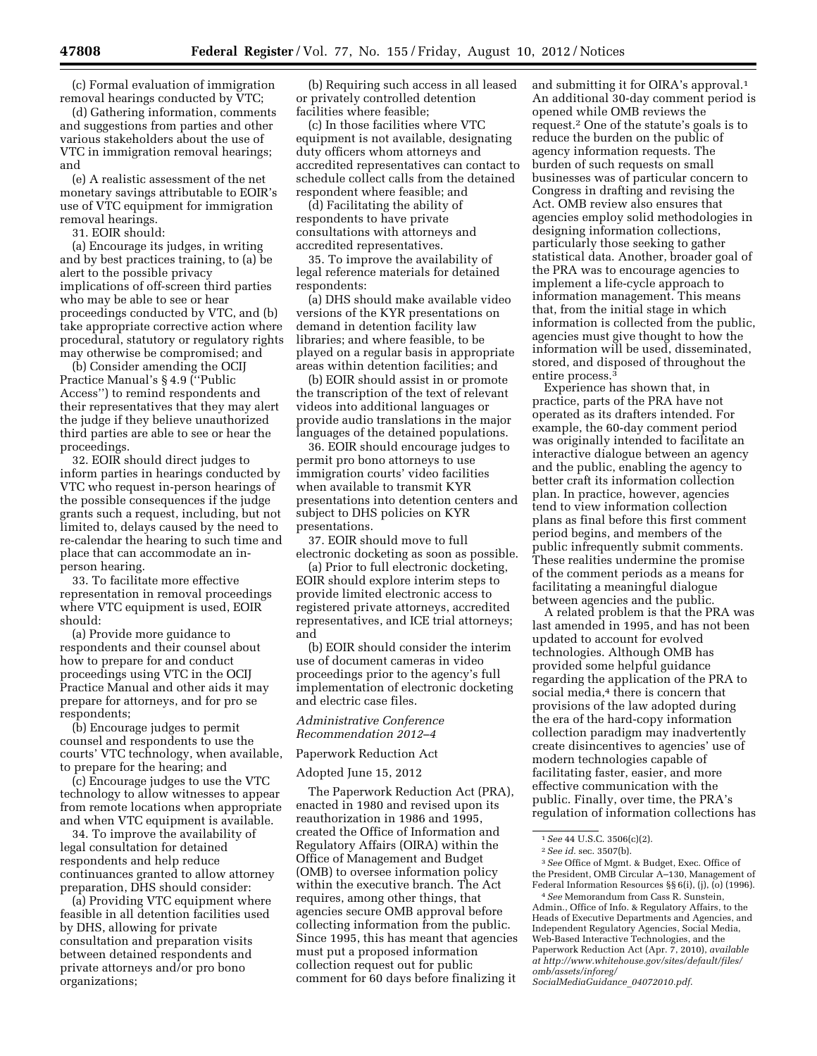(c) Formal evaluation of immigration removal hearings conducted by VTC;

(d) Gathering information, comments and suggestions from parties and other various stakeholders about the use of VTC in immigration removal hearings; and

(e) A realistic assessment of the net monetary savings attributable to EOIR's use of VTC equipment for immigration removal hearings.

31. EOIR should:

(a) Encourage its judges, in writing and by best practices training, to (a) be alert to the possible privacy implications of off-screen third parties who may be able to see or hear proceedings conducted by VTC, and (b) take appropriate corrective action where procedural, statutory or regulatory rights may otherwise be compromised; and

(b) Consider amending the OCIJ Practice Manual's § 4.9 (''Public Access'') to remind respondents and their representatives that they may alert the judge if they believe unauthorized third parties are able to see or hear the proceedings.

32. EOIR should direct judges to inform parties in hearings conducted by VTC who request in-person hearings of the possible consequences if the judge grants such a request, including, but not limited to, delays caused by the need to re-calendar the hearing to such time and place that can accommodate an inperson hearing.

33. To facilitate more effective representation in removal proceedings where VTC equipment is used, EOIR should:

(a) Provide more guidance to respondents and their counsel about how to prepare for and conduct proceedings using VTC in the OCIJ Practice Manual and other aids it may prepare for attorneys, and for pro se respondents;

(b) Encourage judges to permit counsel and respondents to use the courts' VTC technology, when available, to prepare for the hearing; and

(c) Encourage judges to use the VTC technology to allow witnesses to appear from remote locations when appropriate and when VTC equipment is available.

34. To improve the availability of legal consultation for detained respondents and help reduce continuances granted to allow attorney preparation, DHS should consider:

(a) Providing VTC equipment where feasible in all detention facilities used by DHS, allowing for private consultation and preparation visits between detained respondents and private attorneys and/or pro bono organizations;

(b) Requiring such access in all leased or privately controlled detention facilities where feasible;

(c) In those facilities where VTC equipment is not available, designating duty officers whom attorneys and accredited representatives can contact to schedule collect calls from the detained respondent where feasible; and

(d) Facilitating the ability of respondents to have private consultations with attorneys and accredited representatives.

35. To improve the availability of legal reference materials for detained respondents:

(a) DHS should make available video versions of the KYR presentations on demand in detention facility law libraries; and where feasible, to be played on a regular basis in appropriate areas within detention facilities; and

(b) EOIR should assist in or promote the transcription of the text of relevant videos into additional languages or provide audio translations in the major languages of the detained populations.

36. EOIR should encourage judges to permit pro bono attorneys to use immigration courts' video facilities when available to transmit KYR presentations into detention centers and subject to DHS policies on KYR presentations.

37. EOIR should move to full electronic docketing as soon as possible.

(a) Prior to full electronic docketing, EOIR should explore interim steps to provide limited electronic access to registered private attorneys, accredited representatives, and ICE trial attorneys; and

(b) EOIR should consider the interim use of document cameras in video proceedings prior to the agency's full implementation of electronic docketing and electric case files.

*Administrative Conference Recommendation 2012–4* 

Paperwork Reduction Act

Adopted June 15, 2012

The Paperwork Reduction Act (PRA), enacted in 1980 and revised upon its reauthorization in 1986 and 1995, created the Office of Information and Regulatory Affairs (OIRA) within the Office of Management and Budget (OMB) to oversee information policy within the executive branch. The Act requires, among other things, that agencies secure OMB approval before collecting information from the public. Since 1995, this has meant that agencies must put a proposed information collection request out for public comment for 60 days before finalizing it

and submitting it for OIRA's approval.1 An additional 30-day comment period is opened while OMB reviews the request.2 One of the statute's goals is to reduce the burden on the public of agency information requests. The burden of such requests on small businesses was of particular concern to Congress in drafting and revising the Act. OMB review also ensures that agencies employ solid methodologies in designing information collections, particularly those seeking to gather statistical data. Another, broader goal of the PRA was to encourage agencies to implement a life-cycle approach to information management. This means that, from the initial stage in which information is collected from the public, agencies must give thought to how the information will be used, disseminated, stored, and disposed of throughout the entire process.3

Experience has shown that, in practice, parts of the PRA have not operated as its drafters intended. For example, the 60-day comment period was originally intended to facilitate an interactive dialogue between an agency and the public, enabling the agency to better craft its information collection plan. In practice, however, agencies tend to view information collection plans as final before this first comment period begins, and members of the public infrequently submit comments. These realities undermine the promise of the comment periods as a means for facilitating a meaningful dialogue between agencies and the public.

A related problem is that the PRA was last amended in 1995, and has not been updated to account for evolved technologies. Although OMB has provided some helpful guidance regarding the application of the PRA to social media,<sup>4</sup> there is concern that provisions of the law adopted during the era of the hard-copy information collection paradigm may inadvertently create disincentives to agencies' use of modern technologies capable of facilitating faster, easier, and more effective communication with the public. Finally, over time, the PRA's regulation of information collections has

*[SocialMediaGuidance](http://www.whitehouse.gov/sites/default/files/omb/assets/inforeg/SocialMediaGuidance_04072010.pdf)*\_*04072010.pdf*.

<sup>1</sup>*See* 44 U.S.C. 3506(c)(2).

<sup>2</sup>*See id.* sec. 3507(b).

<sup>3</sup>*See* Office of Mgmt. & Budget, Exec. Office of the President, OMB Circular A–130, Management of Federal Information Resources §§ 6(i), (j), (o) (1996).

<sup>4</sup>*See* Memorandum from Cass R. Sunstein, Admin., Office of Info. & Regulatory Affairs, to the Heads of Executive Departments and Agencies, and Independent Regulatory Agencies, Social Media, Web-Based Interactive Technologies, and the Paperwork Reduction Act (Apr. 7, 2010), *available at [http://www.whitehouse.gov/sites/default/files/](http://www.whitehouse.gov/sites/default/files/omb/assets/inforeg/SocialMediaGuidance_04072010.pdf)  [omb/assets/inforeg/](http://www.whitehouse.gov/sites/default/files/omb/assets/inforeg/SocialMediaGuidance_04072010.pdf)*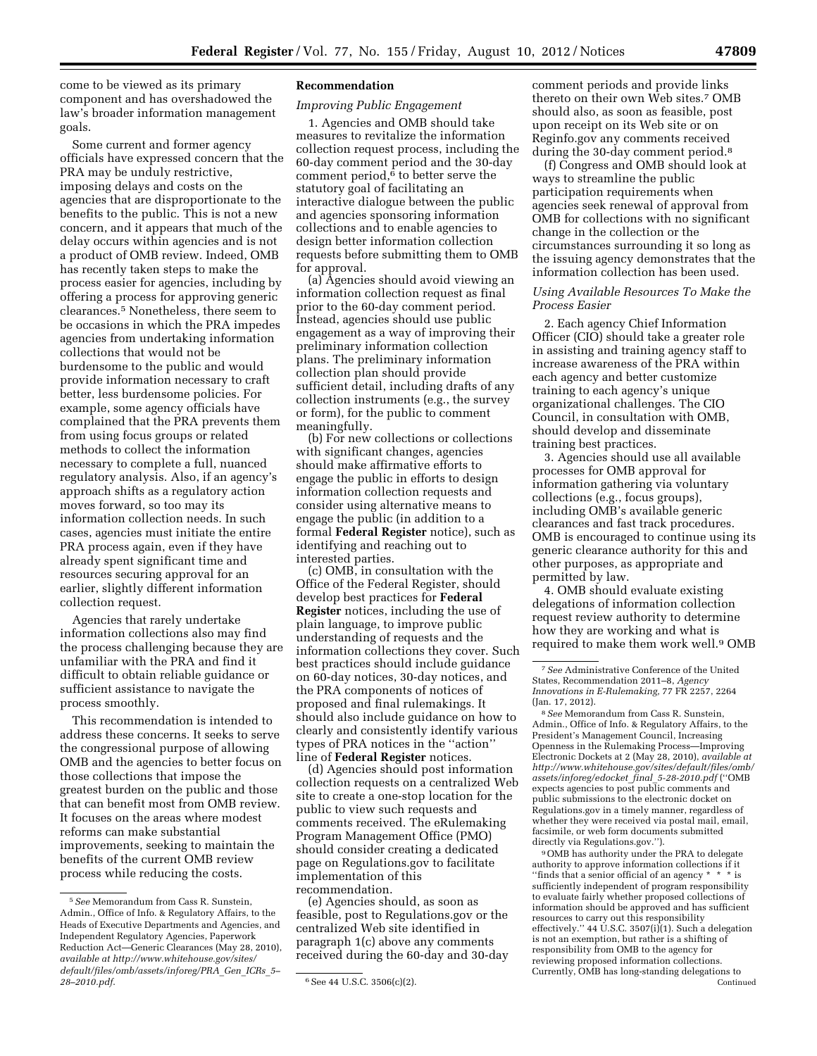come to be viewed as its primary component and has overshadowed the law's broader information management goals.

Some current and former agency officials have expressed concern that the PRA may be unduly restrictive, imposing delays and costs on the agencies that are disproportionate to the benefits to the public. This is not a new concern, and it appears that much of the delay occurs within agencies and is not a product of OMB review. Indeed, OMB has recently taken steps to make the process easier for agencies, including by offering a process for approving generic clearances.5 Nonetheless, there seem to be occasions in which the PRA impedes agencies from undertaking information collections that would not be burdensome to the public and would provide information necessary to craft better, less burdensome policies. For example, some agency officials have complained that the PRA prevents them from using focus groups or related methods to collect the information necessary to complete a full, nuanced regulatory analysis. Also, if an agency's approach shifts as a regulatory action moves forward, so too may its information collection needs. In such cases, agencies must initiate the entire PRA process again, even if they have already spent significant time and resources securing approval for an earlier, slightly different information collection request.

Agencies that rarely undertake information collections also may find the process challenging because they are unfamiliar with the PRA and find it difficult to obtain reliable guidance or sufficient assistance to navigate the process smoothly.

This recommendation is intended to address these concerns. It seeks to serve the congressional purpose of allowing OMB and the agencies to better focus on those collections that impose the greatest burden on the public and those that can benefit most from OMB review. It focuses on the areas where modest reforms can make substantial improvements, seeking to maintain the benefits of the current OMB review process while reducing the costs.

## **Recommendation**

## *Improving Public Engagement*

1. Agencies and OMB should take measures to revitalize the information collection request process, including the 60-day comment period and the 30-day comment period, $6$  to better serve the statutory goal of facilitating an interactive dialogue between the public and agencies sponsoring information collections and to enable agencies to design better information collection requests before submitting them to OMB for approval.

(a) Agencies should avoid viewing an information collection request as final prior to the 60-day comment period. Instead, agencies should use public engagement as a way of improving their preliminary information collection plans. The preliminary information collection plan should provide sufficient detail, including drafts of any collection instruments (e.g., the survey or form), for the public to comment meaningfully.

(b) For new collections or collections with significant changes, agencies should make affirmative efforts to engage the public in efforts to design information collection requests and consider using alternative means to engage the public (in addition to a formal **Federal Register** notice), such as identifying and reaching out to interested parties.

(c) OMB, in consultation with the Office of the Federal Register, should develop best practices for **Federal Register** notices, including the use of plain language, to improve public understanding of requests and the information collections they cover. Such best practices should include guidance on 60-day notices, 30-day notices, and the PRA components of notices of proposed and final rulemakings. It should also include guidance on how to clearly and consistently identify various types of PRA notices in the ''action'' line of **Federal Register** notices.

(d) Agencies should post information collection requests on a centralized Web site to create a one-stop location for the public to view such requests and comments received. The eRulemaking Program Management Office (PMO) should consider creating a dedicated page on Regulations.gov to facilitate implementation of this recommendation.

(e) Agencies should, as soon as feasible, post to Regulations.gov or the centralized Web site identified in paragraph 1(c) above any comments received during the 60-day and 30-day comment periods and provide links thereto on their own Web sites.7 OMB should also, as soon as feasible, post upon receipt on its Web site or on Reginfo.gov any comments received during the 30-day comment period.<sup>8</sup>

(f) Congress and OMB should look at ways to streamline the public participation requirements when agencies seek renewal of approval from OMB for collections with no significant change in the collection or the circumstances surrounding it so long as the issuing agency demonstrates that the information collection has been used.

# *Using Available Resources To Make the Process Easier*

2. Each agency Chief Information Officer (CIO) should take a greater role in assisting and training agency staff to increase awareness of the PRA within each agency and better customize training to each agency's unique organizational challenges. The CIO Council, in consultation with OMB, should develop and disseminate training best practices.

3. Agencies should use all available processes for OMB approval for information gathering via voluntary collections (e.g., focus groups), including OMB's available generic clearances and fast track procedures. OMB is encouraged to continue using its generic clearance authority for this and other purposes, as appropriate and permitted by law.

4. OMB should evaluate existing delegations of information collection request review authority to determine how they are working and what is required to make them work well.9 OMB

8*See* Memorandum from Cass R. Sunstein, Admin., Office of Info. & Regulatory Affairs, to the President's Management Council, Increasing Openness in the Rulemaking Process—Improving Electronic Dockets at 2 (May 28, 2010), *available at [http://www.whitehouse.gov/sites/default/files/omb/](http://www.whitehouse.gov/sites/default/files/omb/assets/inforeg/edocket_final_5-28-2010.pdf) [assets/inforeg/edocket](http://www.whitehouse.gov/sites/default/files/omb/assets/inforeg/edocket_final_5-28-2010.pdf)*\_*final*\_*5-28-2010.pdf* (''OMB expects agencies to post public comments and public submissions to the electronic docket on Regulations.gov in a timely manner, regardless of whether they were received via postal mail, email, facsimile, or web form documents submitted directly via Regulations.gov.'').

9OMB has authority under the PRA to delegate authority to approve information collections if it ''finds that a senior official of an agency \* \* \* is sufficiently independent of program responsibility to evaluate fairly whether proposed collections of information should be approved and has sufficient resources to carry out this responsibility effectively." 44 U.S.C. 3507(i)(1). Such a delegation is not an exemption, but rather is a shifting of responsibility from OMB to the agency for reviewing proposed information collections. Currently, OMB has long-standing delegations to Continued

<sup>5</sup>*See* Memorandum from Cass R. Sunstein, Admin., Office of Info. & Regulatory Affairs, to the Heads of Executive Departments and Agencies, and Independent Regulatory Agencies, Paperwork Reduction Act—Generic Clearances (May 28, 2010), *available at [http://www.whitehouse.gov/sites/](http://www.whitehouse.gov/sites/default/files/omb/assets/inforeg/PRA_Gen_ICRs_5-28-2010.pdf) [default/files/omb/assets/inforeg/PRA](http://www.whitehouse.gov/sites/default/files/omb/assets/inforeg/PRA_Gen_ICRs_5-28-2010.pdf)*\_*Gen*\_*ICRs*\_*5–* 

*[<sup>28–2010.</sup>pdf](http://www.whitehouse.gov/sites/default/files/omb/assets/inforeg/PRA_Gen_ICRs_5-28-2010.pdf)*. 6See 44 U.S.C. 3506(c)(2).

<sup>7</sup>*See* Administrative Conference of the United States, Recommendation 2011–8, *Agency Innovations in E-Rulemaking,* 77 FR 2257, 2264 (Jan. 17, 2012).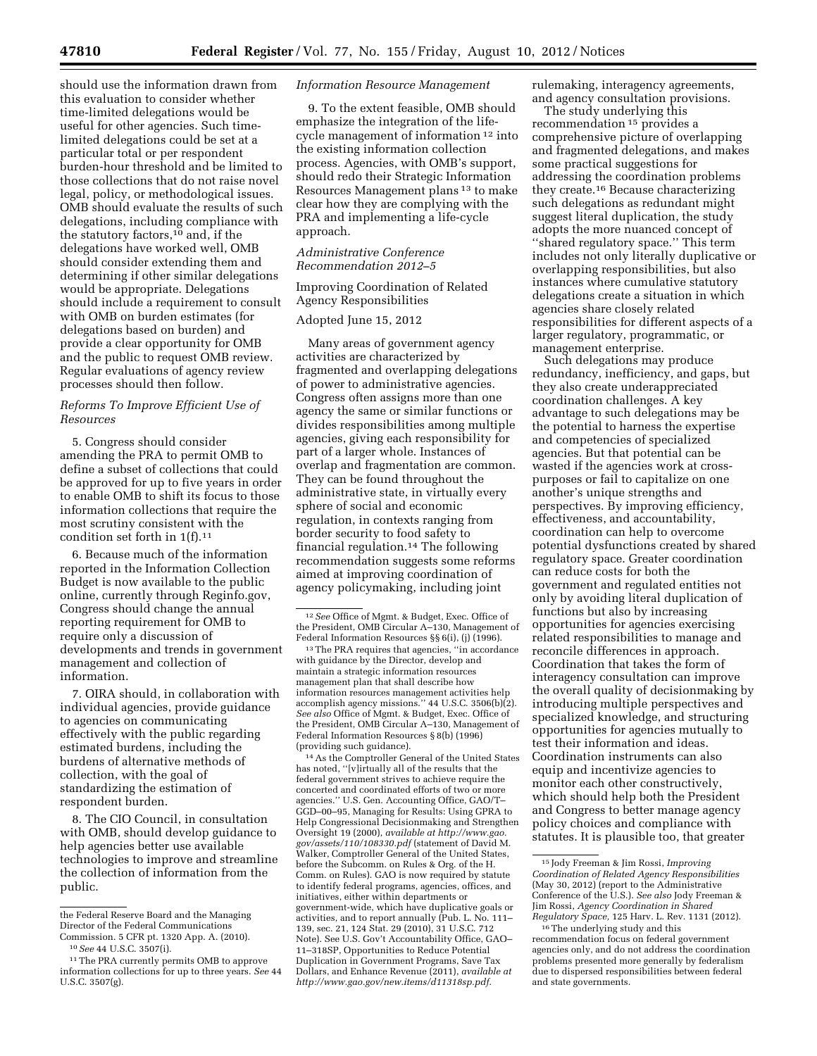should use the information drawn from this evaluation to consider whether time-limited delegations would be useful for other agencies. Such timelimited delegations could be set at a particular total or per respondent burden-hour threshold and be limited to those collections that do not raise novel legal, policy, or methodological issues. OMB should evaluate the results of such delegations, including compliance with the statutory factors,<sup>10</sup> and, if the delegations have worked well, OMB should consider extending them and determining if other similar delegations would be appropriate. Delegations should include a requirement to consult with OMB on burden estimates (for delegations based on burden) and provide a clear opportunity for OMB and the public to request OMB review. Regular evaluations of agency review processes should then follow.

# *Reforms To Improve Efficient Use of Resources*

5. Congress should consider amending the PRA to permit OMB to define a subset of collections that could be approved for up to five years in order to enable OMB to shift its focus to those information collections that require the most scrutiny consistent with the condition set forth in  $1(f).<sup>11</sup>$ 

6. Because much of the information reported in the Information Collection Budget is now available to the public online, currently through Reginfo.gov, Congress should change the annual reporting requirement for OMB to require only a discussion of developments and trends in government management and collection of information.

7. OIRA should, in collaboration with individual agencies, provide guidance to agencies on communicating effectively with the public regarding estimated burdens, including the burdens of alternative methods of collection, with the goal of standardizing the estimation of respondent burden.

8. The CIO Council, in consultation with OMB, should develop guidance to help agencies better use available technologies to improve and streamline the collection of information from the public.

10*See* 44 U.S.C. 3507(i).

## *Information Resource Management*

9. To the extent feasible, OMB should emphasize the integration of the lifecycle management of information 12 into the existing information collection process. Agencies, with OMB's support, should redo their Strategic Information Resources Management plans 13 to make clear how they are complying with the PRA and implementing a life-cycle approach.

# *Administrative Conference Recommendation 2012–5*

# Improving Coordination of Related Agency Responsibilities

# Adopted June 15, 2012

Many areas of government agency activities are characterized by fragmented and overlapping delegations of power to administrative agencies. Congress often assigns more than one agency the same or similar functions or divides responsibilities among multiple agencies, giving each responsibility for part of a larger whole. Instances of overlap and fragmentation are common. They can be found throughout the administrative state, in virtually every sphere of social and economic regulation, in contexts ranging from border security to food safety to financial regulation.14 The following recommendation suggests some reforms aimed at improving coordination of agency policymaking, including joint

13The PRA requires that agencies, ''in accordance with guidance by the Director, develop and maintain a strategic information resources management plan that shall describe how information resources management activities help accomplish agency missions.'' 44 U.S.C. 3506(b)(2). *See also* Office of Mgmt. & Budget, Exec. Office of the President, OMB Circular A–130, Management of Federal Information Resources § 8(b) (1996) (providing such guidance).

14As the Comptroller General of the United States has noted, ''[v]irtually all of the results that the federal government strives to achieve require the concerted and coordinated efforts of two or more agencies.'' U.S. Gen. Accounting Office, GAO/T– GGD–00–95, Managing for Results: Using GPRA to Help Congressional Decisionmaking and Strengthen Oversight 19 (2000), *available at [http://www.gao.](http://www.gao.gov/assets/110/108330.pdf) [gov/assets/110/108330.pdf](http://www.gao.gov/assets/110/108330.pdf)* (statement of David M. Walker, Comptroller General of the United States, before the Subcomm. on Rules & Org. of the H. Comm. on Rules). GAO is now required by statute to identify federal programs, agencies, offices, and initiatives, either within departments or government-wide, which have duplicative goals or activities, and to report annually (Pub. L. No. 111– 139, sec. 21, 124 Stat. 29 (2010), 31 U.S.C. 712 Note). See U.S. Gov't Accountability Office, GAO– 11–318SP, Opportunities to Reduce Potential Duplication in Government Programs, Save Tax Dollars, and Enhance Revenue (2011), *available at [http://www.gao.gov/new.items/d11318sp.pdf.](http://www.gao.gov/new.items/d11318sp.pdf)* 

rulemaking, interagency agreements, and agency consultation provisions.

The study underlying this recommendation 15 provides a comprehensive picture of overlapping and fragmented delegations, and makes some practical suggestions for addressing the coordination problems they create.16 Because characterizing such delegations as redundant might suggest literal duplication, the study adopts the more nuanced concept of ''shared regulatory space.'' This term includes not only literally duplicative or overlapping responsibilities, but also instances where cumulative statutory delegations create a situation in which agencies share closely related responsibilities for different aspects of a larger regulatory, programmatic, or management enterprise.

Such delegations may produce redundancy, inefficiency, and gaps, but they also create underappreciated coordination challenges. A key advantage to such delegations may be the potential to harness the expertise and competencies of specialized agencies. But that potential can be wasted if the agencies work at crosspurposes or fail to capitalize on one another's unique strengths and perspectives. By improving efficiency, effectiveness, and accountability, coordination can help to overcome potential dysfunctions created by shared regulatory space. Greater coordination can reduce costs for both the government and regulated entities not only by avoiding literal duplication of functions but also by increasing opportunities for agencies exercising related responsibilities to manage and reconcile differences in approach. Coordination that takes the form of interagency consultation can improve the overall quality of decisionmaking by introducing multiple perspectives and specialized knowledge, and structuring opportunities for agencies mutually to test their information and ideas. Coordination instruments can also equip and incentivize agencies to monitor each other constructively, which should help both the President and Congress to better manage agency policy choices and compliance with statutes. It is plausible too, that greater

the Federal Reserve Board and the Managing Director of the Federal Communications Commission. 5 CFR pt. 1320 App. A. (2010).

<sup>&</sup>lt;sup>11</sup> The PRA currently permits OMB to approve information collections for up to three years. *See* 44 U.S.C. 3507(g).

<sup>12</sup>*See* Office of Mgmt. & Budget, Exec. Office of the President, OMB Circular A–130, Management of Federal Information Resources §§ 6(i), (j) (1996).

<sup>15</sup> Jody Freeman & Jim Rossi, *Improving Coordination of Related Agency Responsibilities*  (May 30, 2012) (report to the Administrative Conference of the U.S.). *See also* Jody Freeman & Jim Rossi, *Agency Coordination in Shared Regulatory Space,* 125 Harv. L. Rev. 1131 (2012).

<sup>16</sup>The underlying study and this recommendation focus on federal government agencies only, and do not address the coordination problems presented more generally by federalism due to dispersed responsibilities between federal and state governments.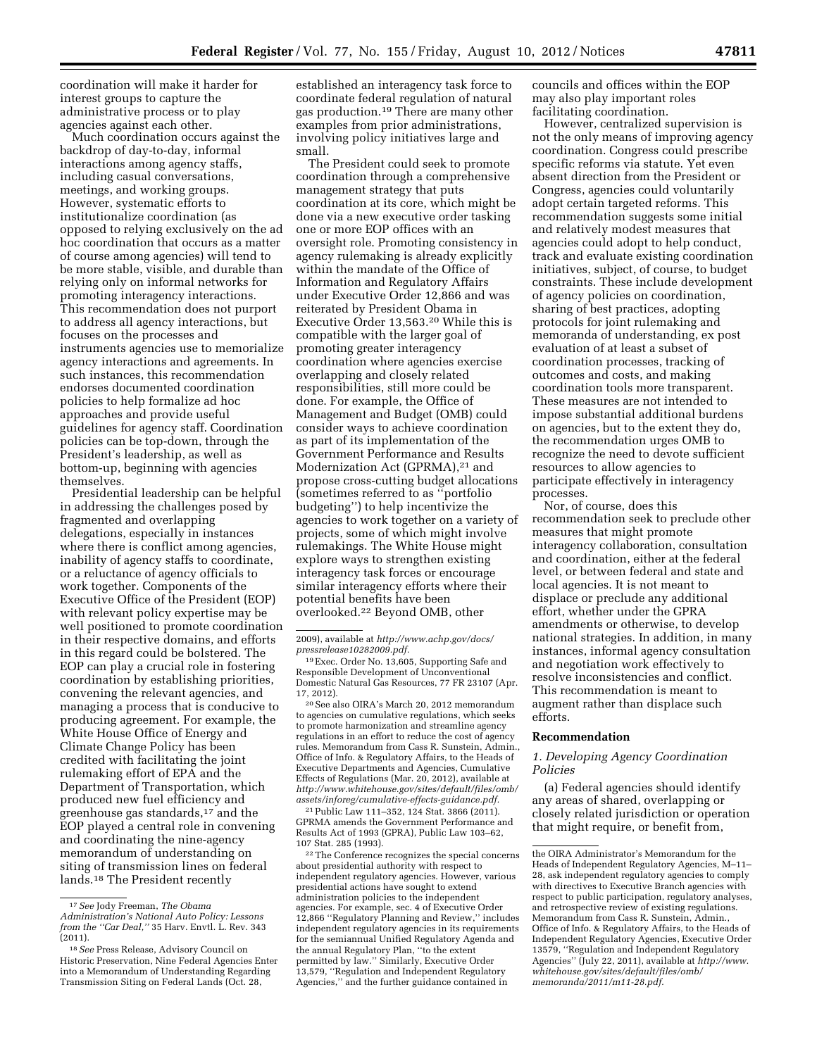coordination will make it harder for interest groups to capture the administrative process or to play agencies against each other.

Much coordination occurs against the backdrop of day-to-day, informal interactions among agency staffs, including casual conversations, meetings, and working groups. However, systematic efforts to institutionalize coordination (as opposed to relying exclusively on the ad hoc coordination that occurs as a matter of course among agencies) will tend to be more stable, visible, and durable than relying only on informal networks for promoting interagency interactions. This recommendation does not purport to address all agency interactions, but focuses on the processes and instruments agencies use to memorialize agency interactions and agreements. In such instances, this recommendation endorses documented coordination policies to help formalize ad hoc approaches and provide useful guidelines for agency staff. Coordination policies can be top-down, through the President's leadership, as well as bottom-up, beginning with agencies themselves.

Presidential leadership can be helpful in addressing the challenges posed by fragmented and overlapping delegations, especially in instances where there is conflict among agencies, inability of agency staffs to coordinate, or a reluctance of agency officials to work together. Components of the Executive Office of the President (EOP) with relevant policy expertise may be well positioned to promote coordination in their respective domains, and efforts in this regard could be bolstered. The EOP can play a crucial role in fostering coordination by establishing priorities, convening the relevant agencies, and managing a process that is conducive to producing agreement. For example, the White House Office of Energy and Climate Change Policy has been credited with facilitating the joint rulemaking effort of EPA and the Department of Transportation, which produced new fuel efficiency and greenhouse gas standards, $17$  and the EOP played a central role in convening and coordinating the nine-agency memorandum of understanding on siting of transmission lines on federal lands.18 The President recently

established an interagency task force to coordinate federal regulation of natural gas production.19 There are many other examples from prior administrations, involving policy initiatives large and small.

The President could seek to promote coordination through a comprehensive management strategy that puts coordination at its core, which might be done via a new executive order tasking one or more EOP offices with an oversight role. Promoting consistency in agency rulemaking is already explicitly within the mandate of the Office of Information and Regulatory Affairs under Executive Order 12,866 and was reiterated by President Obama in Executive Order 13,563.20 While this is compatible with the larger goal of promoting greater interagency coordination where agencies exercise overlapping and closely related responsibilities, still more could be done. For example, the Office of Management and Budget (OMB) could consider ways to achieve coordination as part of its implementation of the Government Performance and Results Modernization Act (GPRMA),<sup>21</sup> and propose cross-cutting budget allocations (sometimes referred to as ''portfolio budgeting'') to help incentivize the agencies to work together on a variety of projects, some of which might involve rulemakings. The White House might explore ways to strengthen existing interagency task forces or encourage similar interagency efforts where their potential benefits have been overlooked.22 Beyond OMB, other

20See also OIRA's March 20, 2012 memorandum to agencies on cumulative regulations, which seeks to promote harmonization and streamline agency regulations in an effort to reduce the cost of agency rules. Memorandum from Cass R. Sunstein, Admin., Office of Info. & Regulatory Affairs, to the Heads of Executive Departments and Agencies, Cumulative Effects of Regulations (Mar. 20, 2012), available at *[http://www.whitehouse.gov/sites/default/files/omb/](http://www.whitehouse.gov/sites/default/files/omb/assets/inforeg/cumulative-effects-guidance.pdf) [assets/inforeg/cumulative-effects-guidance.pdf.](http://www.whitehouse.gov/sites/default/files/omb/assets/inforeg/cumulative-effects-guidance.pdf)* 

21Public Law 111–352, 124 Stat. 3866 (2011). GPRMA amends the Government Performance and Results Act of 1993 (GPRA), Public Law 103–62, 107 Stat. 285 (1993).

22The Conference recognizes the special concerns about presidential authority with respect to independent regulatory agencies. However, various presidential actions have sought to extend administration policies to the independent agencies. For example, sec. 4 of Executive Order 12,866 ''Regulatory Planning and Review,'' includes independent regulatory agencies in its requirements for the semiannual Unified Regulatory Agenda and the annual Regulatory Plan, ''to the extent permitted by law.'' Similarly, Executive Order 13,579, ''Regulation and Independent Regulatory Agencies,'' and the further guidance contained in

councils and offices within the EOP may also play important roles facilitating coordination.

However, centralized supervision is not the only means of improving agency coordination. Congress could prescribe specific reforms via statute. Yet even absent direction from the President or Congress, agencies could voluntarily adopt certain targeted reforms. This recommendation suggests some initial and relatively modest measures that agencies could adopt to help conduct, track and evaluate existing coordination initiatives, subject, of course, to budget constraints. These include development of agency policies on coordination, sharing of best practices, adopting protocols for joint rulemaking and memoranda of understanding, ex post evaluation of at least a subset of coordination processes, tracking of outcomes and costs, and making coordination tools more transparent. These measures are not intended to impose substantial additional burdens on agencies, but to the extent they do, the recommendation urges OMB to recognize the need to devote sufficient resources to allow agencies to participate effectively in interagency processes.

Nor, of course, does this recommendation seek to preclude other measures that might promote interagency collaboration, consultation and coordination, either at the federal level, or between federal and state and local agencies. It is not meant to displace or preclude any additional effort, whether under the GPRA amendments or otherwise, to develop national strategies. In addition, in many instances, informal agency consultation and negotiation work effectively to resolve inconsistencies and conflict. This recommendation is meant to augment rather than displace such efforts.

# **Recommendation**

# *1. Developing Agency Coordination Policies*

(a) Federal agencies should identify any areas of shared, overlapping or closely related jurisdiction or operation that might require, or benefit from,

<sup>17</sup>*See* Jody Freeman, *The Obama* 

*Administration's National Auto Policy: Lessons from the ''Car Deal,''* 35 Harv. Envtl. L. Rev. 343 (2011).

<sup>18</sup>*See* Press Release, Advisory Council on Historic Preservation, Nine Federal Agencies Enter into a Memorandum of Understanding Regarding Transmission Siting on Federal Lands (Oct. 28,

<sup>2009),</sup> available at *[http://www.achp.gov/docs/](http://www.achp.gov/docs/pressrelease10282009.pdf) [pressrelease10282009.pdf.](http://www.achp.gov/docs/pressrelease10282009.pdf)* 

<sup>19</sup>Exec. Order No. 13,605, Supporting Safe and Responsible Development of Unconventional Domestic Natural Gas Resources, 77 FR 23107 (Apr. 17, 2012).

the OIRA Administrator's Memorandum for the Heads of Independent Regulatory Agencies, M–11– 28, ask independent regulatory agencies to comply with directives to Executive Branch agencies with respect to public participation, regulatory analyses, and retrospective review of existing regulations. Memorandum from Cass R. Sunstein, Admin., Office of Info. & Regulatory Affairs, to the Heads of Independent Regulatory Agencies, Executive Order 13579, ''Regulation and Independent Regulatory Agencies'' (July 22, 2011), available at *[http://www.](http://www.whitehouse.gov/sites/default/files/omb/memoranda/2011/m11-28.pdf) [whitehouse.gov/sites/default/files/omb/](http://www.whitehouse.gov/sites/default/files/omb/memoranda/2011/m11-28.pdf)  [memoranda/2011/m11-28.pdf.](http://www.whitehouse.gov/sites/default/files/omb/memoranda/2011/m11-28.pdf)*